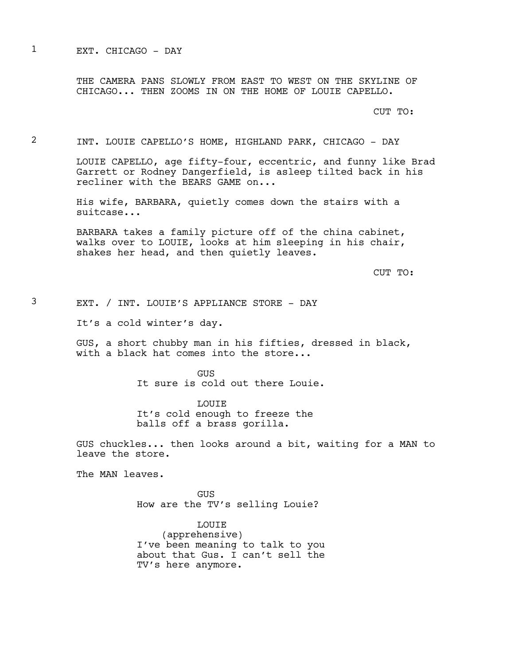# 1 EXT. CHICAGO - DAY

THE CAMERA PANS SLOWLY FROM EAST TO WEST ON THE SKYLINE OF CHICAGO... THEN ZOOMS IN ON THE HOME OF LOUIE CAPELLO.

CUT TO:

2 INT. LOUIE CAPELLO'S HOME, HIGHLAND PARK, CHICAGO - DAY

LOUIE CAPELLO, age fifty-four, eccentric, and funny like Brad Garrett or Rodney Dangerfield, is asleep tilted back in his recliner with the BEARS GAME on...

His wife, BARBARA, quietly comes down the stairs with a suitcase...

BARBARA takes a family picture off of the china cabinet, walks over to LOUIE, looks at him sleeping in his chair, shakes her head, and then quietly leaves.

CUT TO:

3 EXT. / INT. LOUIE'S APPLIANCE STORE - DAY

It's a cold winter's day.

GUS, a short chubby man in his fifties, dressed in black, with a black hat comes into the store...

> GUS It sure is cold out there Louie.

**LOUTE** It's cold enough to freeze the balls off a brass gorilla.

GUS chuckles... then looks around a bit, waiting for a MAN to leave the store.

The MAN leaves.

GUS How are the TV's selling Louie?

LOUIE (apprehensive) I've been meaning to talk to you about that Gus. I can't sell the TV's here anymore.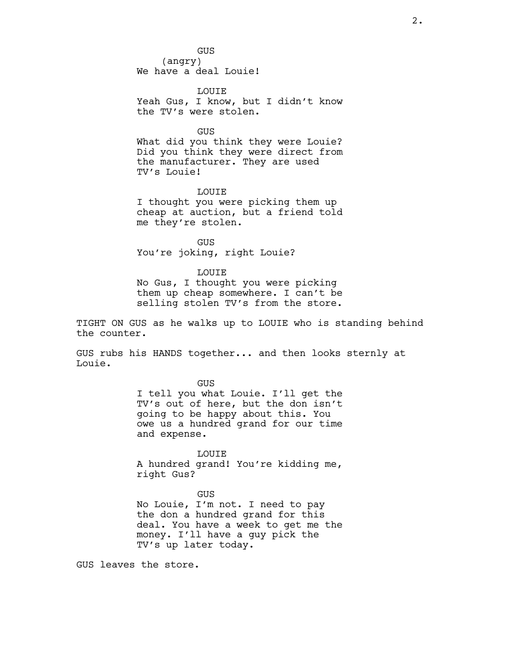GUS (angry) We have a deal Louie!

LOUIE Yeah Gus, I know, but I didn't know the TV's were stolen.

**GUS** What did you think they were Louie? Did you think they were direct from the manufacturer. They are used TV's Louie!

LOUIE I thought you were picking them up cheap at auction, but a friend told me they're stolen.

GUS You're joking, right Louie?

LOUIE No Gus, I thought you were picking them up cheap somewhere. I can't be selling stolen TV's from the store.

TIGHT ON GUS as he walks up to LOUIE who is standing behind the counter.

GUS rubs his HANDS together... and then looks sternly at Louie.

> GUS I tell you what Louie. I'll get the TV's out of here, but the don isn't going to be happy about this. You owe us a hundred grand for our time and expense.

> LOUIE A hundred grand! You're kidding me, right Gus?

GUS No Louie, I'm not. I need to pay the don a hundred grand for this deal. You have a week to get me the money. I'll have a guy pick the TV's up later today.

GUS leaves the store.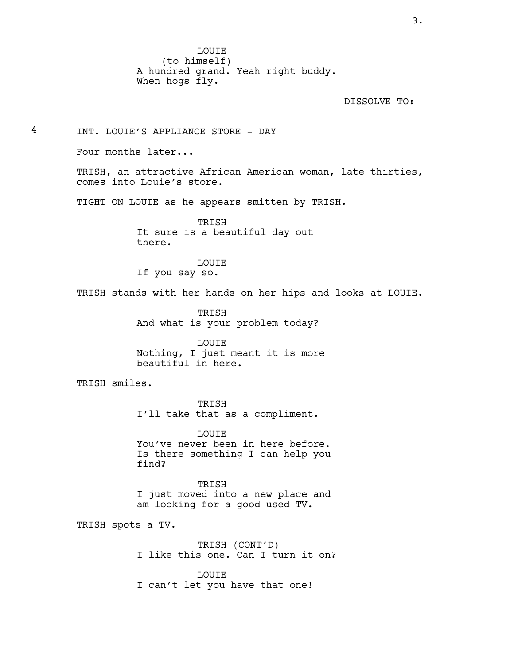LOUIE (to himself) A hundred grand. Yeah right buddy. When hogs fly.

DISSOLVE TO:

4 INT. LOUIE'S APPLIANCE STORE - DAY

Four months later...

TRISH, an attractive African American woman, late thirties, comes into Louie's store.

TIGHT ON LOUIE as he appears smitten by TRISH.

TRISH It sure is a beautiful day out there.

LOUIE If you say so.

TRISH stands with her hands on her hips and looks at LOUIE.

TRISH And what is your problem today?

LOUIE Nothing, I just meant it is more beautiful in here.

TRISH smiles.

TRISH I'll take that as a compliment.

LOUIE You've never been in here before. Is there something I can help you find?

TRISH I just moved into a new place and am looking for a good used TV.

TRISH spots a TV.

TRISH (CONT'D) I like this one. Can I turn it on?

**LOUTE** I can't let you have that one!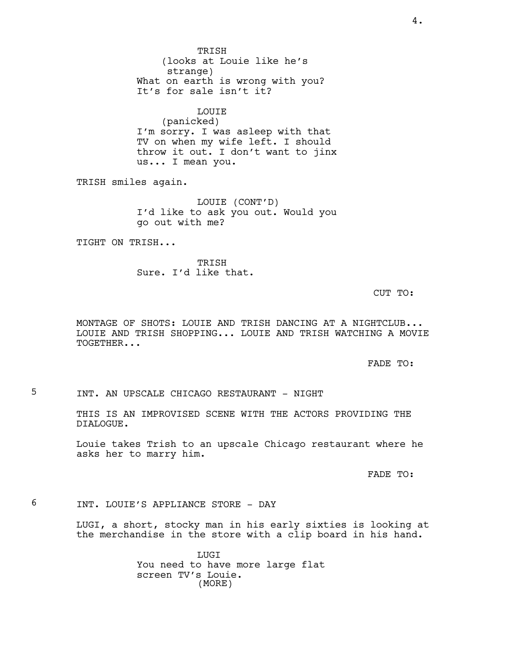TRISH (looks at Louie like he's strange) What on earth is wrong with you? It's for sale isn't it? LOUIE (panicked) I'm sorry. I was asleep with that TV on when my wife left. I should throw it out. I don't want to jinx us... I mean you. TRISH smiles again. LOUIE (CONT'D) I'd like to ask you out. Would you go out with me? TIGHT ON TRISH... TRISH

CUT TO:

MONTAGE OF SHOTS: LOUIE AND TRISH DANCING AT A NIGHTCLUB... LOUIE AND TRISH SHOPPING... LOUIE AND TRISH WATCHING A MOVIE TOGETHER...

FADE TO:

5 INT. AN UPSCALE CHICAGO RESTAURANT - NIGHT

Sure. I'd like that.

THIS IS AN IMPROVISED SCENE WITH THE ACTORS PROVIDING THE DIALOGUE.

Louie takes Trish to an upscale Chicago restaurant where he asks her to marry him.

FADE TO:

6 INT. LOUIE'S APPLIANCE STORE - DAY

LUGI, a short, stocky man in his early sixties is looking at the merchandise in the store with a clip board in his hand.

> LUGI You need to have more large flat screen TV's Louie. (MORE)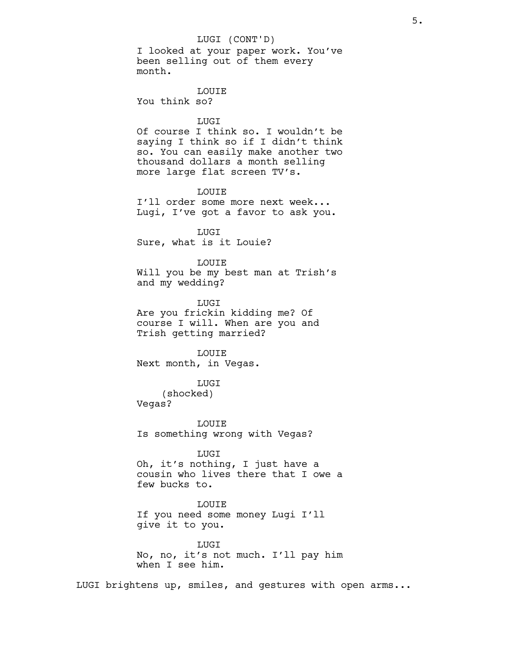## LUGI (CONT'D)

I looked at your paper work. You've been selling out of them every month.

# **LOUTE**

You think so?

#### LUGI

Of course I think so. I wouldn't be saying I think so if I didn't think so. You can easily make another two thousand dollars a month selling more large flat screen TV's.

LOUIE I'll order some more next week... Lugi, I've got a favor to ask you.

LUGI Sure, what is it Louie?

LOUIE Will you be my best man at Trish's and my wedding?

LUGI Are you frickin kidding me? Of course I will. When are you and Trish getting married?

LOUIE Next month, in Vegas.

LUGI

(shocked) Vegas?

LOUIE Is something wrong with Vegas?

LUGI

Oh, it's nothing, I just have a cousin who lives there that I owe a few bucks to.

LOUIE

If you need some money Lugi I'll give it to you.

LUGI No, no, it's not much. I'll pay him when I see him.

LUGI brightens up, smiles, and gestures with open arms...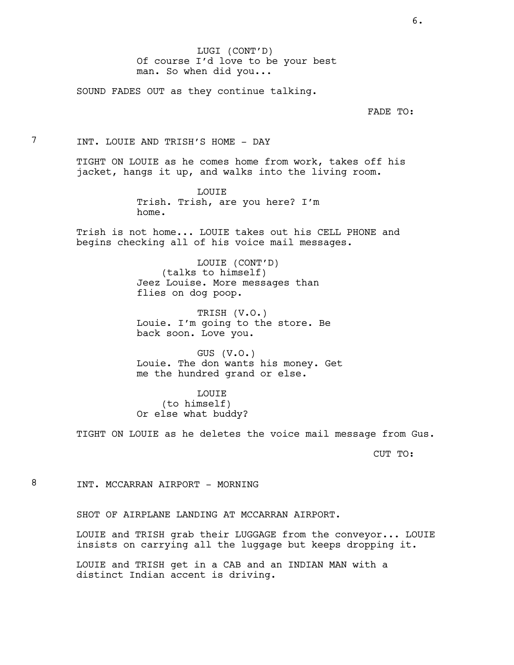LUGI (CONT'D) Of course I'd love to be your best man. So when did you...

SOUND FADES OUT as they continue talking.

FADE TO:

7 INT. LOUIE AND TRISH'S HOME - DAY

TIGHT ON LOUIE as he comes home from work, takes off his jacket, hangs it up, and walks into the living room.

> LOUIE Trish. Trish, are you here? I'm home.

Trish is not home... LOUIE takes out his CELL PHONE and begins checking all of his voice mail messages.

> LOUIE (CONT'D) (talks to himself) Jeez Louise. More messages than flies on dog poop.

TRISH (V.O.) Louie. I'm going to the store. Be back soon. Love you.

GUS (V.O.) Louie. The don wants his money. Get me the hundred grand or else.

LOUIE (to himself) Or else what buddy?

TIGHT ON LOUIE as he deletes the voice mail message from Gus.

CUT TO:

8 INT. MCCARRAN AIRPORT - MORNING

SHOT OF AIRPLANE LANDING AT MCCARRAN AIRPORT.

LOUIE and TRISH grab their LUGGAGE from the conveyor... LOUIE insists on carrying all the luggage but keeps dropping it.

LOUIE and TRISH get in a CAB and an INDIAN MAN with a distinct Indian accent is driving.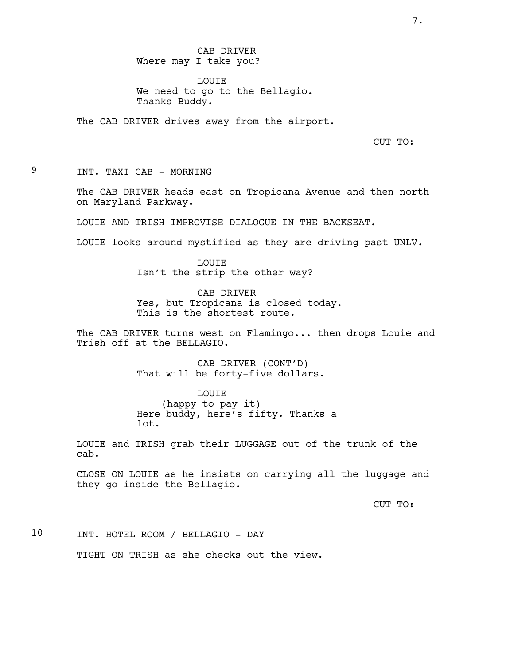CAB DRIVER Where may I take you?

LOUIE We need to go to the Bellagio. Thanks Buddy.

The CAB DRIVER drives away from the airport.

CUT TO:

9 INT. TAXI CAB - MORNING

The CAB DRIVER heads east on Tropicana Avenue and then north on Maryland Parkway.

LOUIE AND TRISH IMPROVISE DIALOGUE IN THE BACKSEAT.

LOUIE looks around mystified as they are driving past UNLV.

LOUIE Isn't the strip the other way?

CAB DRIVER Yes, but Tropicana is closed today. This is the shortest route.

The CAB DRIVER turns west on Flamingo... then drops Louie and Trish off at the BELLAGIO.

> CAB DRIVER (CONT'D) That will be forty-five dollars.

LOUIE (happy to pay it) Here buddy, here's fifty. Thanks a lot.

LOUIE and TRISH grab their LUGGAGE out of the trunk of the cab.

CLOSE ON LOUIE as he insists on carrying all the luggage and they go inside the Bellagio.

CUT TO:

10 INT. HOTEL ROOM / BELLAGIO - DAY

TIGHT ON TRISH as she checks out the view.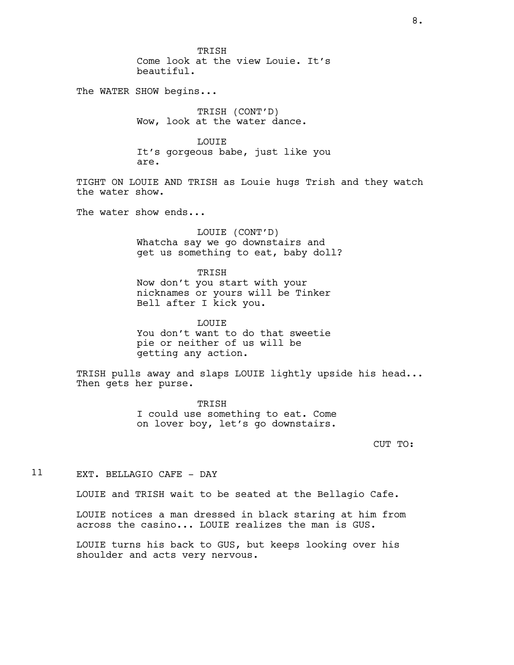TRISH Come look at the view Louie. It's beautiful. The WATER SHOW begins... TRISH (CONT'D) Wow, look at the water dance. LOUIE It's gorgeous babe, just like you are. TIGHT ON LOUIE AND TRISH as Louie hugs Trish and they watch the water show. The water show ends... LOUIE (CONT'D) Whatcha say we go downstairs and get us something to eat, baby doll? TRISH Now don't you start with your nicknames or yours will be Tinker Bell after I kick you. LOUIE You don't want to do that sweetie pie or neither of us will be getting any action. TRISH pulls away and slaps LOUIE lightly upside his head... Then gets her purse. TRISH I could use something to eat. Come on lover boy, let's go downstairs. CUT TO:

11 EXT. BELLAGIO CAFE - DAY

LOUIE and TRISH wait to be seated at the Bellagio Cafe.

LOUIE notices a man dressed in black staring at him from across the casino... LOUIE realizes the man is GUS.

LOUIE turns his back to GUS, but keeps looking over his shoulder and acts very nervous.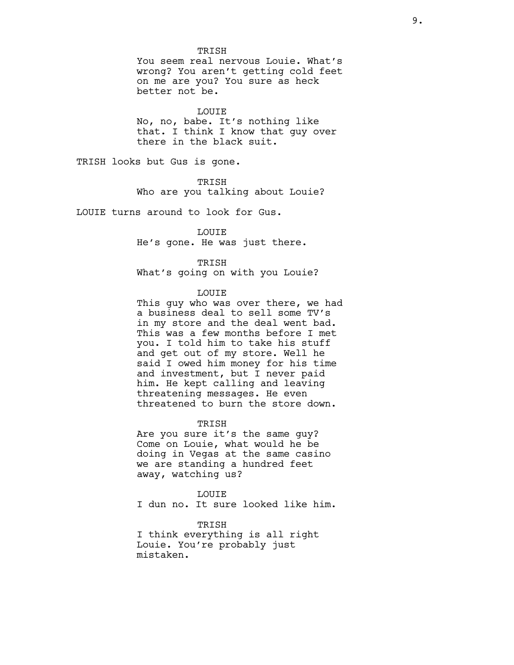TRISH You seem real nervous Louie. What's wrong? You aren't getting cold feet on me are you? You sure as heck better not be.

LOUIE No, no, babe. It's nothing like that. I think I know that guy over there in the black suit.

TRISH looks but Gus is gone.

TRISH Who are you talking about Louie?

LOUIE turns around to look for Gus.

LOUIE He's gone. He was just there.

TRISH What's going on with you Louie?

## **LOUTE**

This guy who was over there, we had a business deal to sell some TV's in my store and the deal went bad. This was a few months before I met you. I told him to take his stuff and get out of my store. Well he said I owed him money for his time and investment, but I never paid him. He kept calling and leaving threatening messages. He even threatened to burn the store down.

#### TRISH

Are you sure it's the same guy? Come on Louie, what would he be doing in Vegas at the same casino we are standing a hundred feet away, watching us?

LOUIE I dun no. It sure looked like him.

TRISH I think everything is all right Louie. You're probably just mistaken.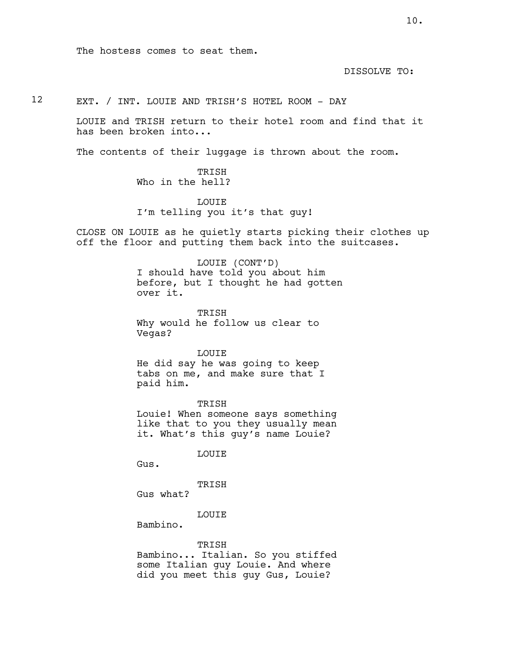The hostess comes to seat them.

DISSOLVE TO:

12 EXT. / INT. LOUIE AND TRISH'S HOTEL ROOM - DAY

LOUIE and TRISH return to their hotel room and find that it has been broken into...

The contents of their luggage is thrown about the room.

TRISH Who in the hell?

**LOUTE** I'm telling you it's that guy!

CLOSE ON LOUIE as he quietly starts picking their clothes up off the floor and putting them back into the suitcases.

> LOUIE (CONT'D) I should have told you about him before, but I thought he had gotten over it.

TRISH Why would he follow us clear to Vegas?

LOUIE He did say he was going to keep tabs on me, and make sure that I paid him.

TRISH Louie! When someone says something like that to you they usually mean it. What's this guy's name Louie?

LOUIE

Gus.

TRISH

Gus what?

**LOUTE** 

Bambino.

TRISH Bambino... Italian. So you stiffed some Italian guy Louie. And where did you meet this guy Gus, Louie?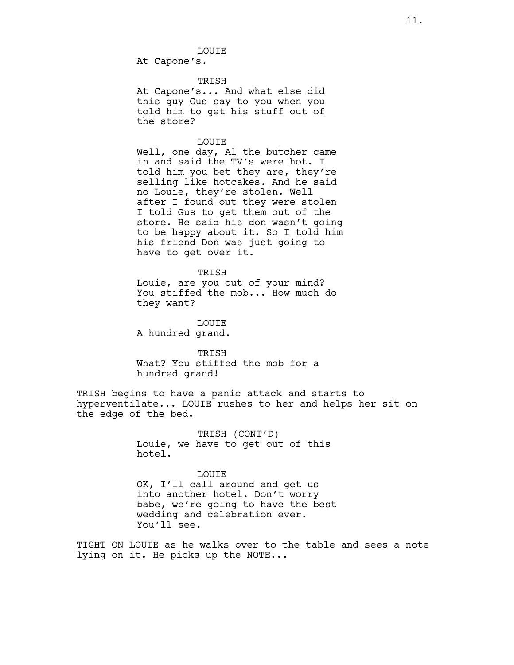LOUIE

At Capone's.

#### TRISH

At Capone's... And what else did this guy Gus say to you when you told him to get his stuff out of the store?

#### LOUIE

Well, one day, Al the butcher came in and said the TV's were hot. I told him you bet they are, they're selling like hotcakes. And he said no Louie, they're stolen. Well after I found out they were stolen I told Gus to get them out of the store. He said his don wasn't going to be happy about it. So I told him his friend Don was just going to have to get over it.

# TRISH

Louie, are you out of your mind? You stiffed the mob... How much do they want?

LOUIE A hundred grand.

TRISH What? You stiffed the mob for a hundred grand!

TRISH begins to have a panic attack and starts to hyperventilate... LOUIE rushes to her and helps her sit on the edge of the bed.

> TRISH (CONT'D) Louie, we have to get out of this hotel.

#### LOUIE

OK, I'll call around and get us into another hotel. Don't worry babe, we're going to have the best wedding and celebration ever. You'll see.

TIGHT ON LOUIE as he walks over to the table and sees a note lying on it. He picks up the NOTE...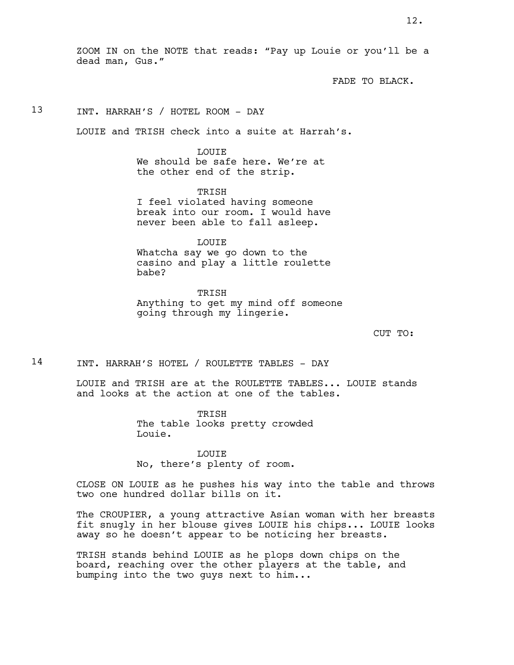FADE TO BLACK.

13 INT. HARRAH'S / HOTEL ROOM - DAY

LOUIE and TRISH check into a suite at Harrah's.

LOUIE We should be safe here. We're at the other end of the strip.

TRISH I feel violated having someone break into our room. I would have never been able to fall asleep.

LOUIE Whatcha say we go down to the casino and play a little roulette babe?

TRISH Anything to get my mind off someone going through my lingerie.

CUT TO:

14 INT. HARRAH'S HOTEL / ROULETTE TABLES - DAY

LOUIE and TRISH are at the ROULETTE TABLES... LOUIE stands and looks at the action at one of the tables.

> TRISH The table looks pretty crowded Louie.

LOUIE No, there's plenty of room.

CLOSE ON LOUIE as he pushes his way into the table and throws two one hundred dollar bills on it.

The CROUPIER, a young attractive Asian woman with her breasts fit snugly in her blouse gives LOUIE his chips... LOUIE looks away so he doesn't appear to be noticing her breasts.

TRISH stands behind LOUIE as he plops down chips on the board, reaching over the other players at the table, and bumping into the two guys next to him...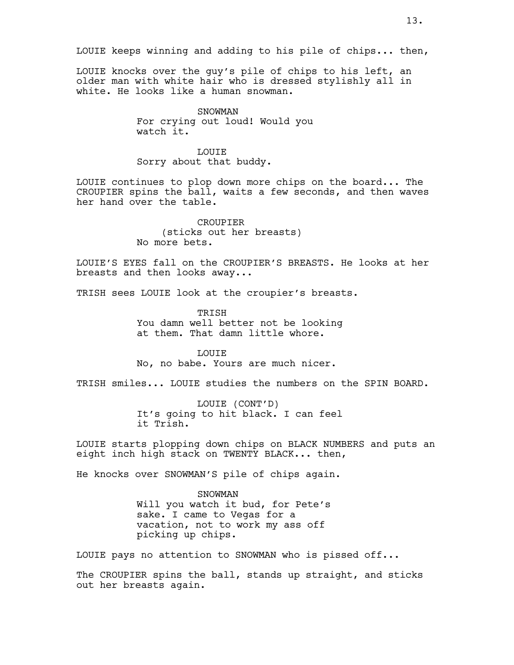LOUIE knocks over the guy's pile of chips to his left, an older man with white hair who is dressed stylishly all in white. He looks like a human snowman.

> SNOWMAN For crying out loud! Would you watch it.

**LOUTE** Sorry about that buddy.

LOUIE continues to plop down more chips on the board... The CROUPIER spins the ball, waits a few seconds, and then waves her hand over the table.

> CROUPIER (sticks out her breasts) No more bets.

LOUIE'S EYES fall on the CROUPIER'S BREASTS. He looks at her breasts and then looks away...

TRISH sees LOUIE look at the croupier's breasts.

TRISH You damn well better not be looking at them. That damn little whore.

**LOUTE** No, no babe. Yours are much nicer.

TRISH smiles... LOUIE studies the numbers on the SPIN BOARD.

LOUIE (CONT'D) It's going to hit black. I can feel it Trish.

LOUIE starts plopping down chips on BLACK NUMBERS and puts an eight inch high stack on TWENTY BLACK... then,

He knocks over SNOWMAN'S pile of chips again.

SNOWMAN Will you watch it bud, for Pete's sake. I came to Vegas for a vacation, not to work my ass off picking up chips.

LOUIE pays no attention to SNOWMAN who is pissed off...

The CROUPIER spins the ball, stands up straight, and sticks out her breasts again.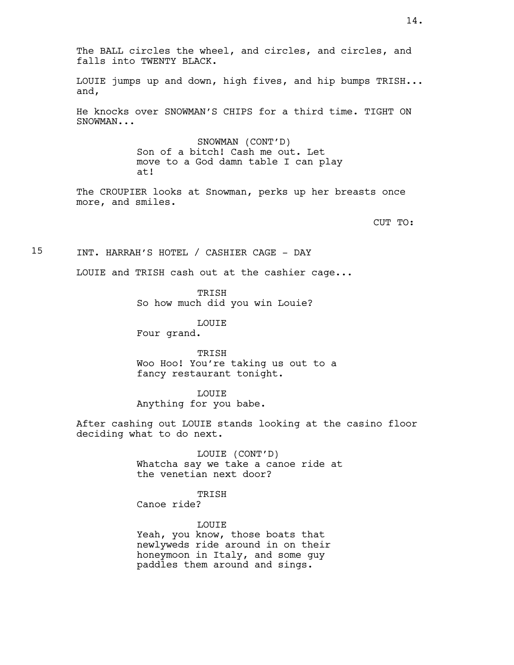The BALL circles the wheel, and circles, and circles, and falls into TWENTY BLACK.

LOUIE jumps up and down, high fives, and hip bumps TRISH... and,

He knocks over SNOWMAN'S CHIPS for a third time. TIGHT ON SNOWMAN...

> SNOWMAN (CONT'D) Son of a bitch! Cash me out. Let move to a God damn table I can play at!

The CROUPIER looks at Snowman, perks up her breasts once more, and smiles.

CUT TO:

15 INT. HARRAH'S HOTEL / CASHIER CAGE - DAY

LOUIE and TRISH cash out at the cashier cage...

TRISH So how much did you win Louie?

LOUIE Four grand.

TRISH Woo Hoo! You're taking us out to a fancy restaurant tonight.

LOUIE Anything for you babe.

After cashing out LOUIE stands looking at the casino floor deciding what to do next.

> LOUIE (CONT'D) Whatcha say we take a canoe ride at the venetian next door?

# TRISH

Canoe ride?

LOUIE Yeah, you know, those boats that newlyweds ride around in on their honeymoon in Italy, and some guy paddles them around and sings.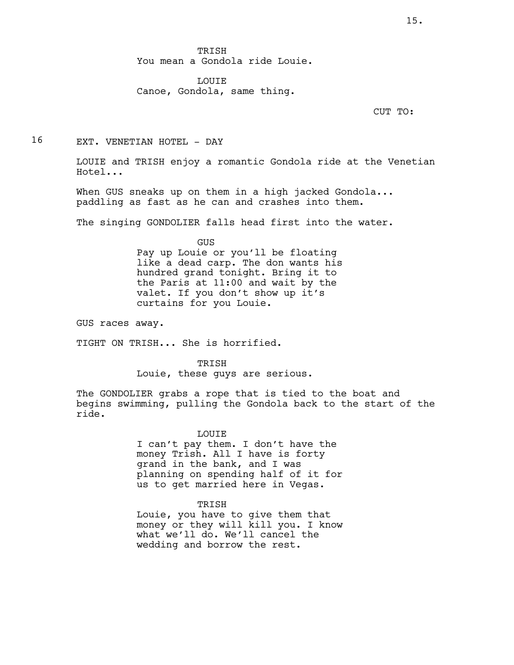LOUIE Canoe, Gondola, same thing.

CUT TO:

16 EXT. VENETIAN HOTEL - DAY

LOUIE and TRISH enjoy a romantic Gondola ride at the Venetian Hotel...

When GUS sneaks up on them in a high jacked Gondola... paddling as fast as he can and crashes into them.

The singing GONDOLIER falls head first into the water.

GUS

Pay up Louie or you'll be floating like a dead carp. The don wants his hundred grand tonight. Bring it to the Paris at 11:00 and wait by the valet. If you don't show up it's curtains for you Louie.

GUS races away.

TIGHT ON TRISH... She is horrified.

TRISH Louie, these guys are serious.

The GONDOLIER grabs a rope that is tied to the boat and begins swimming, pulling the Gondola back to the start of the ride.

> LOUIE I can't pay them. I don't have the money Trish. All I have is forty grand in the bank, and I was planning on spending half of it for us to get married here in Vegas.

TRISH Louie, you have to give them that money or they will kill you. I know what we'll do. We'll cancel the wedding and borrow the rest.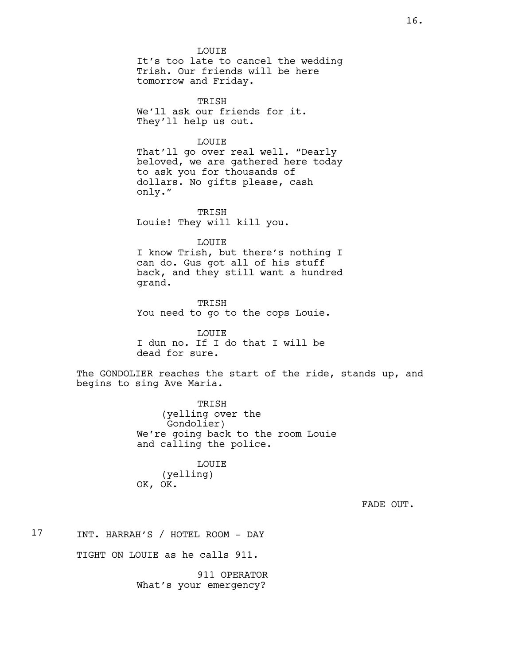LOUIE It's too late to cancel the wedding Trish. Our friends will be here tomorrow and Friday.

TRISH We'll ask our friends for it. They'll help us out.

LOUIE That'll go over real well. "Dearly beloved, we are gathered here today to ask you for thousands of dollars. No gifts please, cash only."

TRISH Louie! They will kill you.

LOUIE I know Trish, but there's nothing I can do. Gus got all of his stuff back, and they still want a hundred grand.

TRISH You need to go to the cops Louie.

LOUIE I dun no. If I do that I will be dead for sure.

The GONDOLIER reaches the start of the ride, stands up, and begins to sing Ave Maria.

> TRISH (yelling over the Gondolier) We're going back to the room Louie and calling the police.

LOUIE (yelling) OK, OK.

FADE OUT.

17 INT. HARRAH'S / HOTEL ROOM - DAY

TIGHT ON LOUIE as he calls 911.

911 OPERATOR What's your emergency?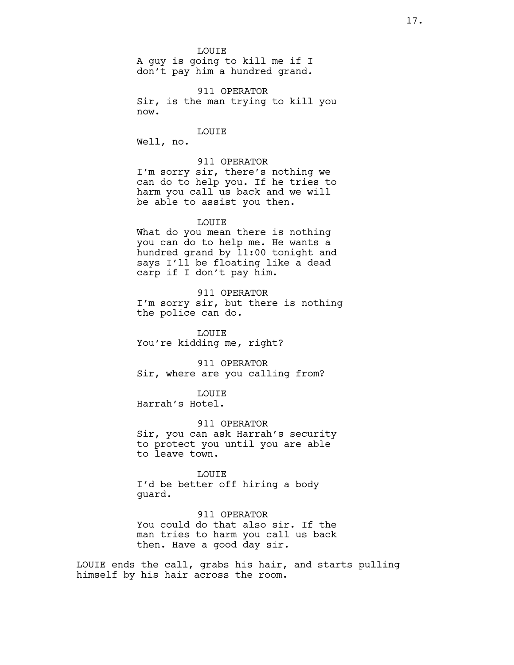LOUIE

A guy is going to kill me if I don't pay him a hundred grand.

911 OPERATOR Sir, is the man trying to kill you now.

LOUIE

Well, no.

911 OPERATOR I'm sorry sir, there's nothing we can do to help you. If he tries to harm you call us back and we will be able to assist you then.

LOUIE

What do you mean there is nothing you can do to help me. He wants a hundred grand by 11:00 tonight and says I'll be floating like a dead carp if I don't pay him.

911 OPERATOR I'm sorry sir, but there is nothing the police can do.

LOUIE You're kidding me, right?

911 OPERATOR Sir, where are you calling from?

LOUIE Harrah's Hotel.

911 OPERATOR Sir, you can ask Harrah's security to protect you until you are able to leave town.

LOUIE I'd be better off hiring a body guard.

911 OPERATOR You could do that also sir. If the man tries to harm you call us back then. Have a good day sir.

LOUIE ends the call, grabs his hair, and starts pulling himself by his hair across the room.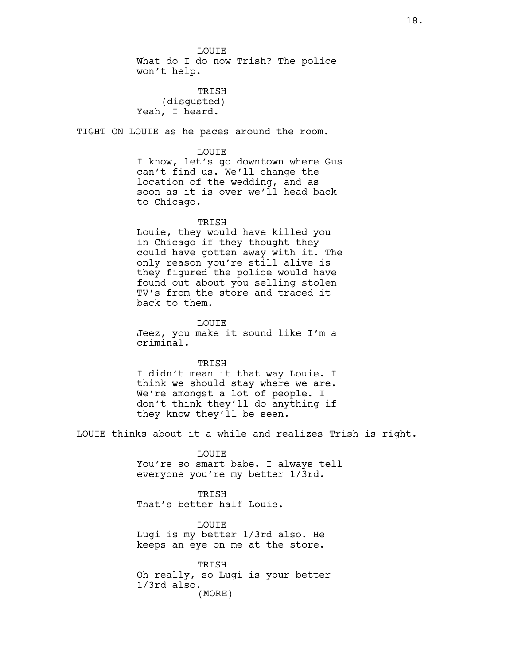LOUIE What do I do now Trish? The police won't help.

TRISH (disgusted) Yeah, I heard.

TIGHT ON LOUIE as he paces around the room.

# LOUIE

I know, let's go downtown where Gus can't find us. We'll change the location of the wedding, and as soon as it is over we'll head back to Chicago.

#### TRISH

Louie, they would have killed you in Chicago if they thought they could have gotten away with it. The only reason you're still alive is they figured the police would have found out about you selling stolen TV's from the store and traced it back to them.

LOUIE Jeez, you make it sound like I'm a criminal.

TRISH I didn't mean it that way Louie. I think we should stay where we are. We're amongst a lot of people. I don't think they'll do anything if they know they'll be seen.

LOUIE thinks about it a while and realizes Trish is right.

LOUIE You're so smart babe. I always tell everyone you're my better 1/3rd.

TRISH That's better half Louie.

LOUIE Lugi is my better 1/3rd also. He keeps an eye on me at the store.

TRISH Oh really, so Lugi is your better 1/3rd also. (MORE)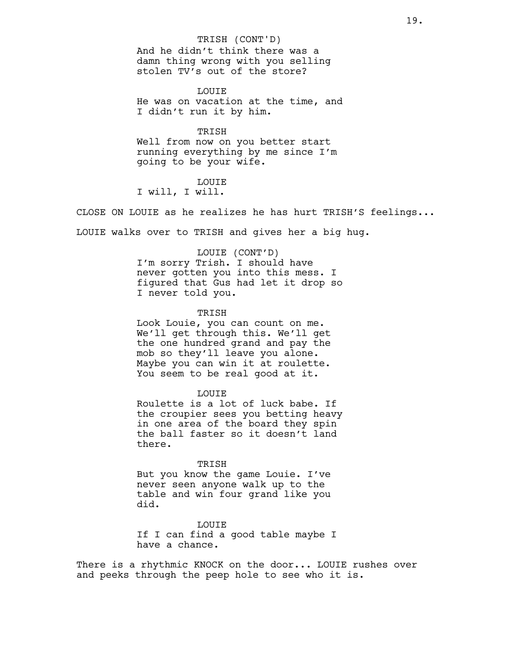# TRISH (CONT'D)

And he didn't think there was a damn thing wrong with you selling stolen TV's out of the store?

**LOUTE** He was on vacation at the time, and I didn't run it by him.

TRISH Well from now on you better start running everything by me since I'm going to be your wife.

**LOUTE** I will, I will.

CLOSE ON LOUIE as he realizes he has hurt TRISH'S feelings...

LOUIE walks over to TRISH and gives her a big hug.

# LOUIE (CONT'D)

I'm sorry Trish. I should have never gotten you into this mess. I figured that Gus had let it drop so I never told you.

#### TRISH

Look Louie, you can count on me. We'll get through this. We'll get the one hundred grand and pay the mob so they'll leave you alone. Maybe you can win it at roulette. You seem to be real good at it.

#### LOUIE

Roulette is a lot of luck babe. If the croupier sees you betting heavy in one area of the board they spin the ball faster so it doesn't land there.

# TRISH

But you know the game Louie. I've never seen anyone walk up to the table and win four grand like you did.

LOUIE If I can find a good table maybe I have a chance.

There is a rhythmic KNOCK on the door... LOUIE rushes over and peeks through the peep hole to see who it is.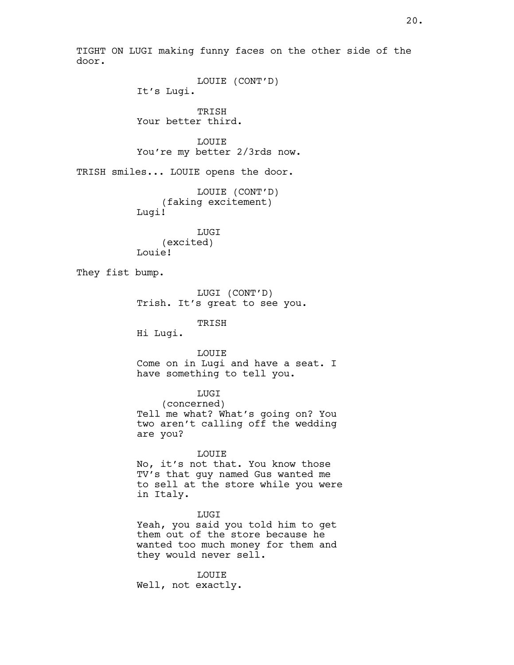TIGHT ON LUGI making funny faces on the other side of the door.

LOUIE (CONT'D) It's Lugi. TRISH Your better third. LOUIE You're my better 2/3rds now. TRISH smiles... LOUIE opens the door. LOUIE (CONT'D) (faking excitement) Lugi! LUGI (excited) Louie! They fist bump. LUGI (CONT'D) Trish. It's great to see you. TRISH Hi Lugi. **LOUTE** Come on in Lugi and have a seat. I have something to tell you. LUGI (concerned) Tell me what? What's going on? You two aren't calling off the wedding are you? LOUIE No, it's not that. You know those TV's that guy named Gus wanted me to sell at the store while you were in Italy. LUGI Yeah, you said you told him to get them out of the store because he wanted too much money for them and they would never sell.

> LOUIE Well, not exactly.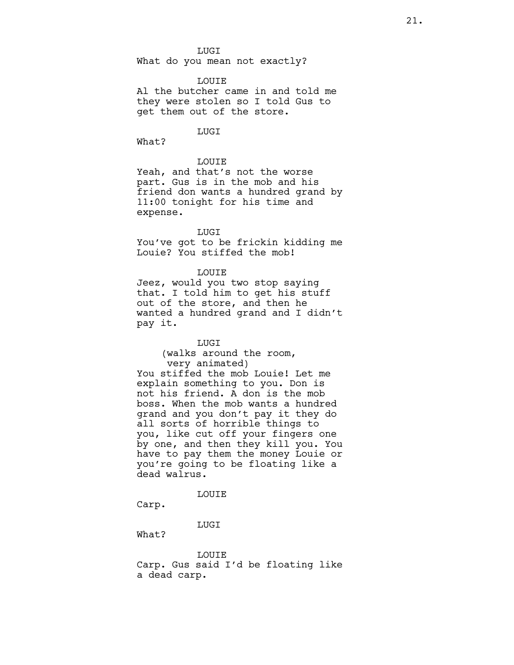LUGI

What do you mean not exactly?

LOUIE

Al the butcher came in and told me they were stolen so I told Gus to get them out of the store.

# LUGI

What?

## LOUIE

Yeah, and that's not the worse part. Gus is in the mob and his friend don wants a hundred grand by 11:00 tonight for his time and expense.

LUGI

You've got to be frickin kidding me Louie? You stiffed the mob!

# LOUIE

Jeez, would you two stop saying that. I told him to get his stuff out of the store, and then he wanted a hundred grand and I didn't pay it.

#### LUGI

(walks around the room, very animated)

You stiffed the mob Louie! Let me explain something to you. Don is not his friend. A don is the mob boss. When the mob wants a hundred grand and you don't pay it they do all sorts of horrible things to you, like cut off your fingers one by one, and then they kill you. You have to pay them the money Louie or you're going to be floating like a dead walrus.

# LOUIE

Carp.

LUGI

What?

LOUIE Carp. Gus said I'd be floating like a dead carp.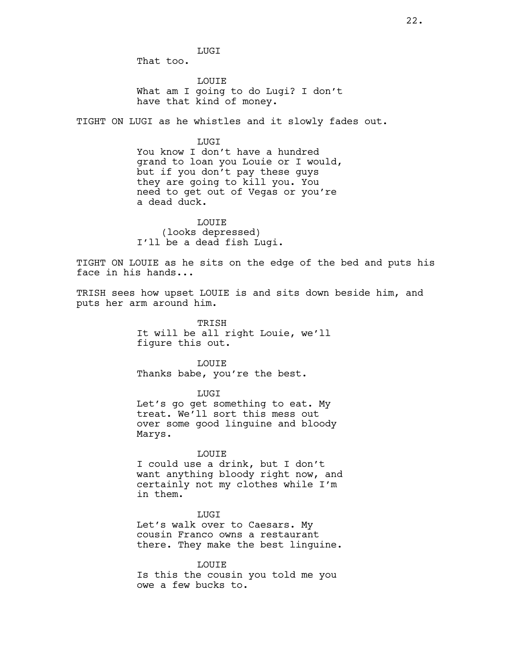LUGI

That too.

LOUIE What am I going to do Lugi? I don't have that kind of money.

TIGHT ON LUGI as he whistles and it slowly fades out.

LUGI You know I don't have a hundred grand to loan you Louie or I would, but if you don't pay these guys they are going to kill you. You need to get out of Vegas or you're a dead duck.

**LOUTE** (looks depressed) I'll be a dead fish Lugi.

TIGHT ON LOUIE as he sits on the edge of the bed and puts his face in his hands...

TRISH sees how upset LOUIE is and sits down beside him, and puts her arm around him.

> TRISH It will be all right Louie, we'll figure this out.

LOUIE Thanks babe, you're the best.

LUGI Let's go get something to eat. My treat. We'll sort this mess out over some good linguine and bloody Marys.

LOUIE I could use a drink, but I don't want anything bloody right now, and certainly not my clothes while I'm in them.

**LUGT** Let's walk over to Caesars. My cousin Franco owns a restaurant there. They make the best linguine.

LOUIE Is this the cousin you told me you owe a few bucks to.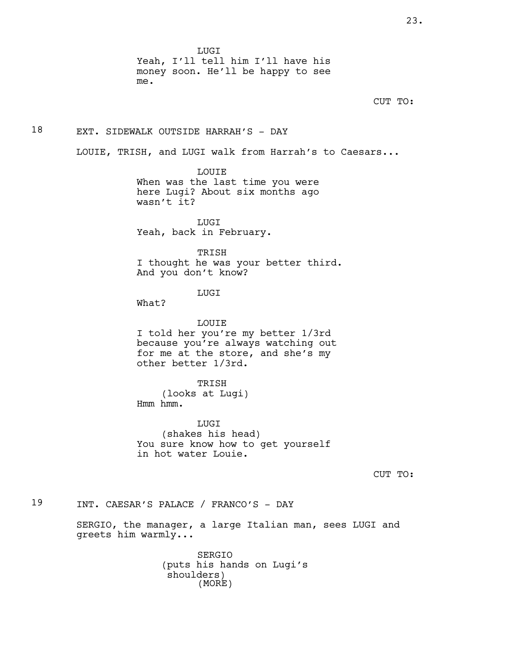LUGI Yeah, I'll tell him I'll have his money soon. He'll be happy to see me.

CUT TO:

18 EXT. SIDEWALK OUTSIDE HARRAH'S - DAY

LOUIE, TRISH, and LUGI walk from Harrah's to Caesars...

LOUIE When was the last time you were here Lugi? About six months ago wasn't it?

LUGI Yeah, back in February.

TRISH I thought he was your better third. And you don't know?

**LUGT** 

What?

LOUIE I told her you're my better 1/3rd because you're always watching out for me at the store, and she's my other better 1/3rd.

TRISH (looks at Lugi) Hmm hmm.

LUGI (shakes his head) You sure know how to get yourself in hot water Louie.

CUT TO:

19 INT. CAESAR'S PALACE / FRANCO'S - DAY

SERGIO, the manager, a large Italian man, sees LUGI and greets him warmly...

> SERGIO (puts his hands on Lugi's shoulders) (MORE)

23.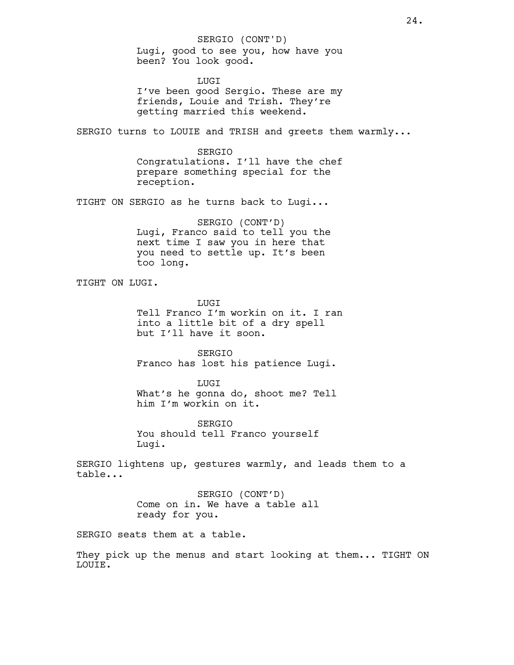SERGIO (CONT'D)

Lugi, good to see you, how have you been? You look good.

LUGI I've been good Sergio. These are my friends, Louie and Trish. They're getting married this weekend.

SERGIO turns to LOUIE and TRISH and greets them warmly...

SERGIO Congratulations. I'll have the chef prepare something special for the reception.

TIGHT ON SERGIO as he turns back to Lugi...

SERGIO (CONT'D) Lugi, Franco said to tell you the next time I saw you in here that you need to settle up. It's been too long.

TIGHT ON LUGI.

LUGI Tell Franco I'm workin on it. I ran into a little bit of a dry spell but I'll have it soon.

SERGIO Franco has lost his patience Lugi.

LUGI What's he gonna do, shoot me? Tell him I'm workin on it.

SERGIO You should tell Franco yourself Lugi.

SERGIO lightens up, gestures warmly, and leads them to a table...

> SERGIO (CONT'D) Come on in. We have a table all ready for you.

SERGIO seats them at a table.

They pick up the menus and start looking at them... TIGHT ON LOUIE.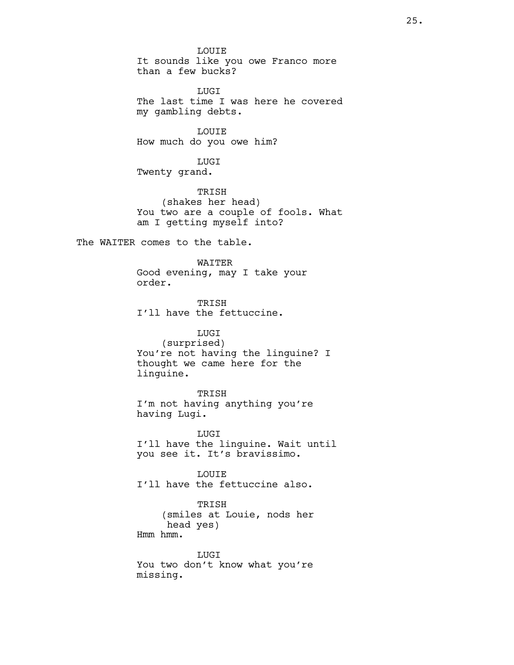LOUIE It sounds like you owe Franco more than a few bucks?

**LUGT** The last time I was here he covered my gambling debts.

LOUIE How much do you owe him?

LUGI Twenty grand.

TRISH (shakes her head) You two are a couple of fools. What am I getting myself into?

The WAITER comes to the table.

WAITER Good evening, may I take your order.

TRISH I'll have the fettuccine.

LUGI (surprised) You're not having the linguine? I thought we came here for the linguine.

TRISH I'm not having anything you're having Lugi.

LUGI I'll have the linguine. Wait until you see it. It's bravissimo.

LOUIE I'll have the fettuccine also.

TRISH (smiles at Louie, nods her head yes) Hmm hmm.

LUGI You two don't know what you're missing.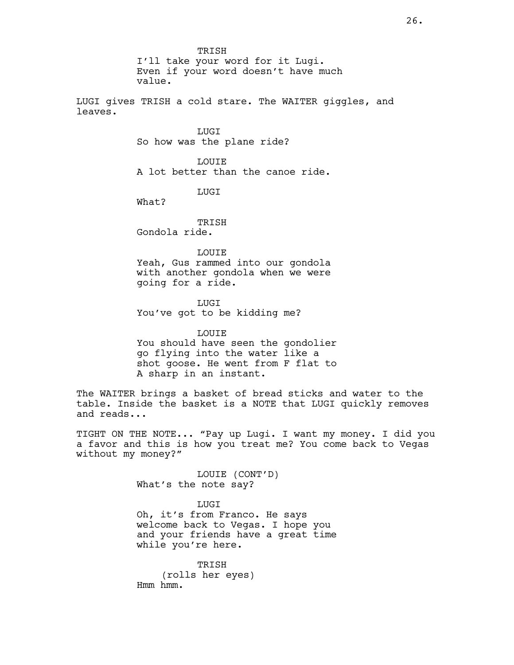TRISH I'll take your word for it Lugi. Even if your word doesn't have much value.

LUGI gives TRISH a cold stare. The WAITER giggles, and leaves.

> LUGI So how was the plane ride?

LOUIE A lot better than the canoe ride.

LUGI

What?

TRISH Gondola ride.

LOUIE Yeah, Gus rammed into our gondola with another gondola when we were going for a ride.

LUGI You've got to be kidding me?

LOUIE You should have seen the gondolier go flying into the water like a shot goose. He went from F flat to A sharp in an instant.

The WAITER brings a basket of bread sticks and water to the table. Inside the basket is a NOTE that LUGI quickly removes and reads...

TIGHT ON THE NOTE... "Pay up Lugi. I want my money. I did you a favor and this is how you treat me? You come back to Vegas without my money?"

> LOUIE (CONT'D) What's the note say?

LUGI Oh, it's from Franco. He says welcome back to Vegas. I hope you and your friends have a great time while you're here.

TRISH (rolls her eyes) Hmm hmm.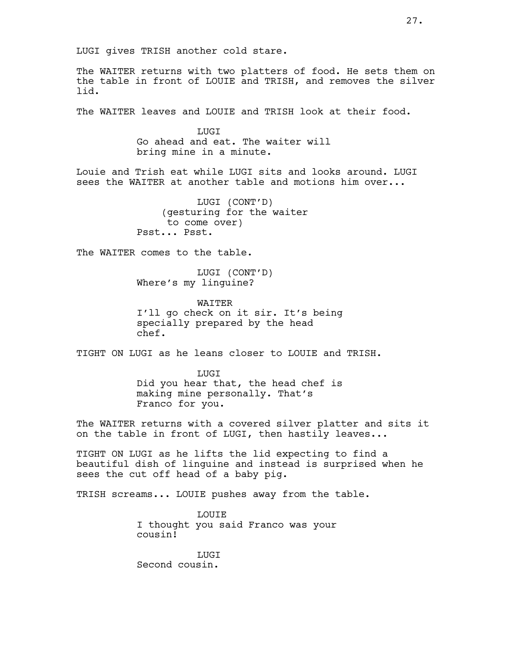The WAITER returns with two platters of food. He sets them on the table in front of LOUIE and TRISH, and removes the silver lid.

The WAITER leaves and LOUIE and TRISH look at their food.

**LUGT** Go ahead and eat. The waiter will bring mine in a minute.

Louie and Trish eat while LUGI sits and looks around. LUGI sees the WAITER at another table and motions him over...

> LUGI (CONT'D) (gesturing for the waiter to come over) Psst... Psst.

The WAITER comes to the table.

LUGI (CONT'D) Where's my linguine?

WAITER I'll go check on it sir. It's being specially prepared by the head chef.

TIGHT ON LUGI as he leans closer to LOUIE and TRISH.

LUGI Did you hear that, the head chef is making mine personally. That's Franco for you.

The WAITER returns with a covered silver platter and sits it on the table in front of LUGI, then hastily leaves...

TIGHT ON LUGI as he lifts the lid expecting to find a beautiful dish of linguine and instead is surprised when he sees the cut off head of a baby pig.

TRISH screams... LOUIE pushes away from the table.

**LOUTE** I thought you said Franco was your cousin!

**LUGT** Second cousin.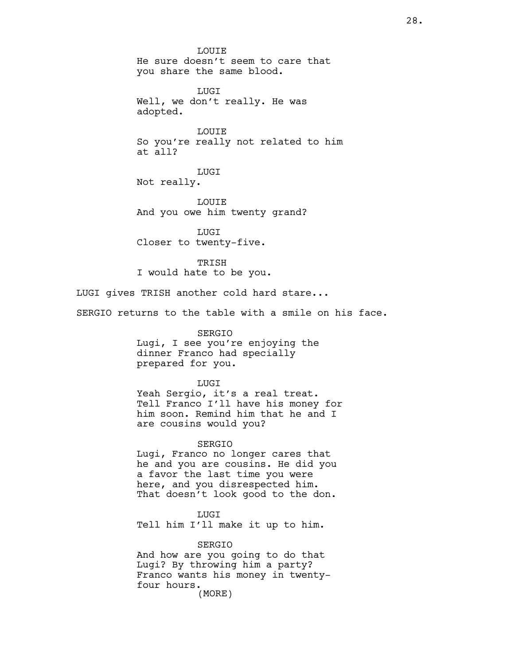LOUIE He sure doesn't seem to care that you share the same blood.

LUGI Well, we don't really. He was adopted.

**LOUTE** So you're really not related to him at all?

LUGI Not really.

LOUIE And you owe him twenty grand?

LUGI Closer to twenty-five.

TRISH I would hate to be you.

LUGI gives TRISH another cold hard stare...

SERGIO returns to the table with a smile on his face.

# SERGIO Lugi, I see you're enjoying the dinner Franco had specially prepared for you.

#### LUGI

Yeah Sergio, it's a real treat. Tell Franco I'll have his money for him soon. Remind him that he and I are cousins would you?

# SERGIO

Lugi, Franco no longer cares that he and you are cousins. He did you a favor the last time you were here, and you disrespected him. That doesn't look good to the don.

**LUGT** Tell him I'll make it up to him.

SERGIO And how are you going to do that Lugi? By throwing him a party? Franco wants his money in twentyfour hours. (MORE)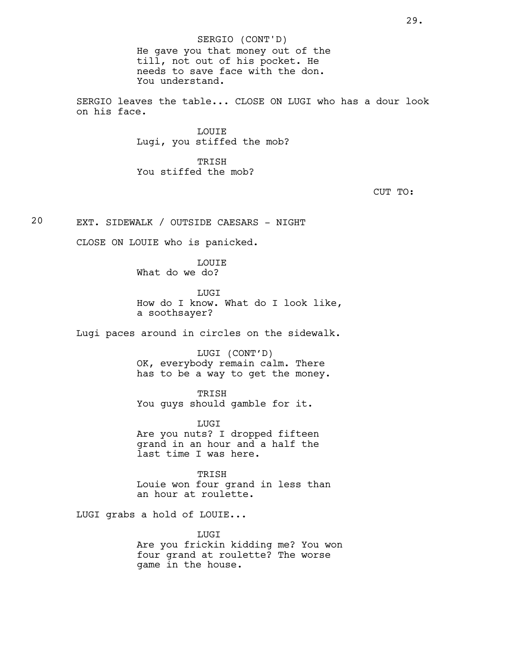He gave you that money out of the till, not out of his pocket. He needs to save face with the don. You understand.

SERGIO leaves the table... CLOSE ON LUGI who has a dour look on his face.

> LOUIE Lugi, you stiffed the mob?

TRISH You stiffed the mob?

CUT TO:

20 EXT. SIDEWALK / OUTSIDE CAESARS - NIGHT

CLOSE ON LOUIE who is panicked.

LOUIE What do we do?

**LUGT** How do I know. What do I look like, a soothsayer?

Lugi paces around in circles on the sidewalk.

LUGI (CONT'D) OK, everybody remain calm. There has to be a way to get the money.

TRISH You guys should gamble for it.

LUGI Are you nuts? I dropped fifteen grand in an hour and a half the last time I was here.

TRISH Louie won four grand in less than an hour at roulette.

LUGI grabs a hold of LOUIE...

LUGI Are you frickin kidding me? You won four grand at roulette? The worse game in the house.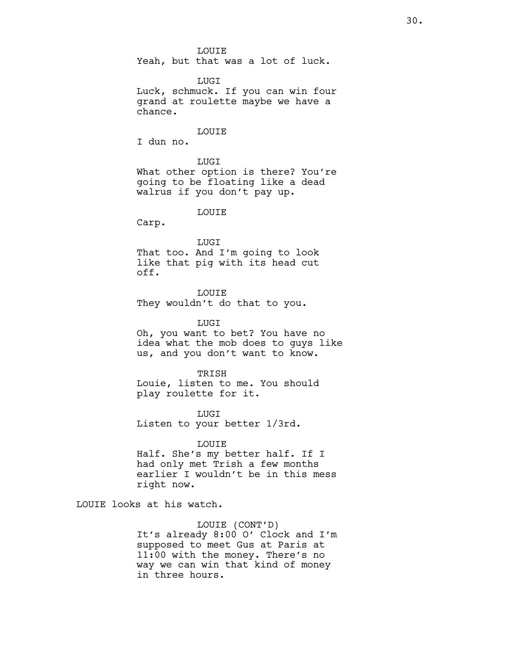LOUIE

Yeah, but that was a lot of luck.

LUGI Luck, schmuck. If you can win four grand at roulette maybe we have a chance.

#### LOUIE

I dun no.

LUGI What other option is there? You're going to be floating like a dead walrus if you don't pay up.

LOUIE

Carp.

**LUGT** That too. And I'm going to look like that pig with its head cut off.

**LOUTE** They wouldn't do that to you.

LUGI Oh, you want to bet? You have no idea what the mob does to guys like us, and you don't want to know.

TRISH Louie, listen to me. You should play roulette for it.

LUGI Listen to your better 1/3rd.

LOUIE Half. She's my better half. If I had only met Trish a few months earlier I wouldn't be in this mess right now.

LOUIE looks at his watch.

LOUIE (CONT'D) It's already 8:00 O' Clock and I'm supposed to meet Gus at Paris at 11:00 with the money. There's no way we can win that kind of money in three hours.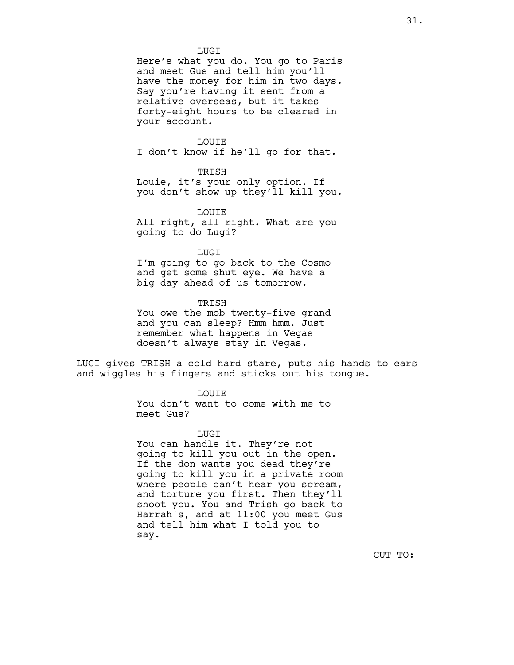#### LUGI

Here's what you do. You go to Paris and meet Gus and tell him you'll have the money for him in two days. Say you're having it sent from a relative overseas, but it takes forty-eight hours to be cleared in your account.

LOUIE I don't know if he'll go for that.

#### TRISH

Louie, it's your only option. If you don't show up they'll kill you.

LOUIE

All right, all right. What are you going to do Lugi?

#### LUGI

I'm going to go back to the Cosmo and get some shut eye. We have a big day ahead of us tomorrow.

#### TRISH

You owe the mob twenty-five grand and you can sleep? Hmm hmm. Just remember what happens in Vegas doesn't always stay in Vegas.

LUGI gives TRISH a cold hard stare, puts his hands to ears and wiggles his fingers and sticks out his tongue.

#### LOUIE

You don't want to come with me to meet Gus?

#### LUGI

You can handle it. They're not going to kill you out in the open. If the don wants you dead they're going to kill you in a private room where people can't hear you scream, and torture you first. Then they'll shoot you. You and Trish go back to Harrah's, and at 11:00 you meet Gus and tell him what I told you to say.

CUT TO: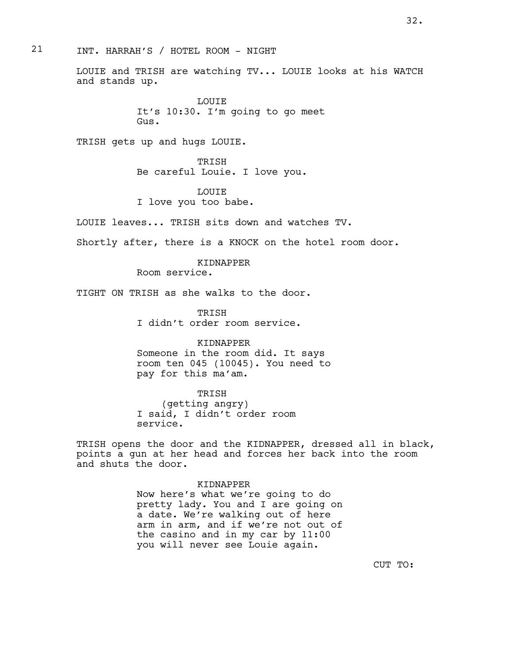21 INT. HARRAH'S / HOTEL ROOM - NIGHT

LOUIE and TRISH are watching TV... LOUIE looks at his WATCH and stands up.

> LOUIE It's 10:30. I'm going to go meet Gus.

TRISH gets up and hugs LOUIE.

TRISH Be careful Louie. I love you.

LOUIE I love you too babe.

LOUIE leaves... TRISH sits down and watches TV.

Shortly after, there is a KNOCK on the hotel room door.

KIDNAPPER Room service.

TIGHT ON TRISH as she walks to the door.

TRISH I didn't order room service.

KIDNAPPER Someone in the room did. It says room ten 045 (10045). You need to pay for this ma'am.

TRISH (getting angry) I said, I didn't order room service.

TRISH opens the door and the KIDNAPPER, dressed all in black, points a gun at her head and forces her back into the room and shuts the door.

# KIDNAPPER

Now here's what we're going to do pretty lady. You and I are going on a date. We're walking out of here arm in arm, and if we're not out of the casino and in my car by 11:00 you will never see Louie again.

CUT TO: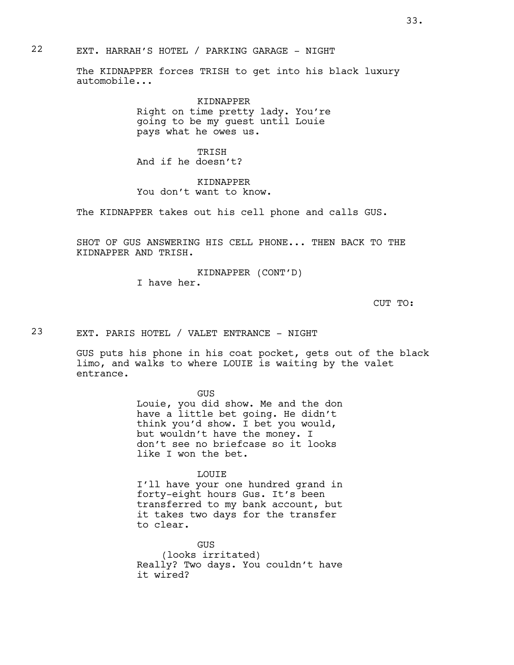# 22 EXT. HARRAH'S HOTEL / PARKING GARAGE - NIGHT

The KIDNAPPER forces TRISH to get into his black luxury automobile...

> KIDNAPPER Right on time pretty lady. You're going to be my guest until Louie pays what he owes us.

TRISH And if he doesn't?

KIDNAPPER You don't want to know.

The KIDNAPPER takes out his cell phone and calls GUS.

SHOT OF GUS ANSWERING HIS CELL PHONE... THEN BACK TO THE KIDNAPPER AND TRISH.

> KIDNAPPER (CONT'D) I have her.

> > CUT TO:

23 EXT. PARIS HOTEL / VALET ENTRANCE - NIGHT

GUS puts his phone in his coat pocket, gets out of the black limo, and walks to where LOUIE is waiting by the valet entrance.

GUS

Louie, you did show. Me and the don have a little bet going. He didn't think you'd show. I bet you would, but wouldn't have the money. I don't see no briefcase so it looks like I won the bet.

LOUIE

I'll have your one hundred grand in forty-eight hours Gus. It's been transferred to my bank account, but it takes two days for the transfer to clear.

GUS (looks irritated) Really? Two days. You couldn't have it wired?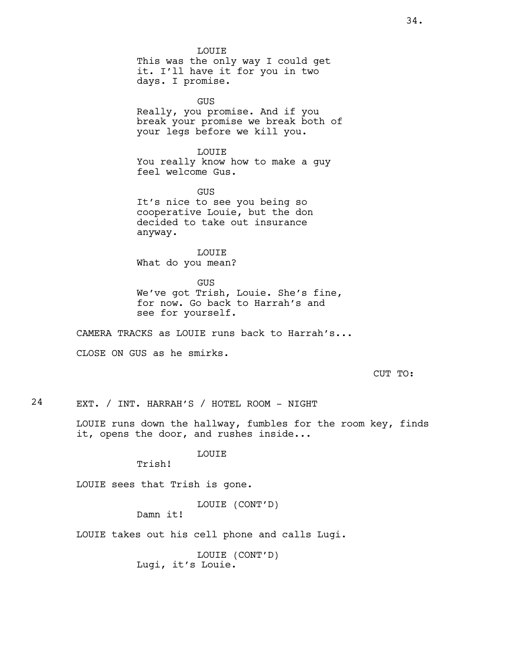LOUIE This was the only way I could get it. I'll have it for you in two days. I promise.

GUS Really, you promise. And if you break your promise we break both of your legs before we kill you.

LOUIE You really know how to make a guy feel welcome Gus.

GUS It's nice to see you being so cooperative Louie, but the don decided to take out insurance anyway.

LOUIE What do you mean?

GUS We've got Trish, Louie. She's fine, for now. Go back to Harrah's and see for yourself.

CAMERA TRACKS as LOUIE runs back to Harrah's...

CLOSE ON GUS as he smirks.

CUT TO:

24 EXT. / INT. HARRAH'S / HOTEL ROOM - NIGHT

LOUIE runs down the hallway, fumbles for the room key, finds it, opens the door, and rushes inside...

LOUIE

Trish!

LOUIE sees that Trish is gone.

LOUIE (CONT'D)

Damn it!

LOUIE takes out his cell phone and calls Lugi.

LOUIE (CONT'D) Lugi, it's Louie.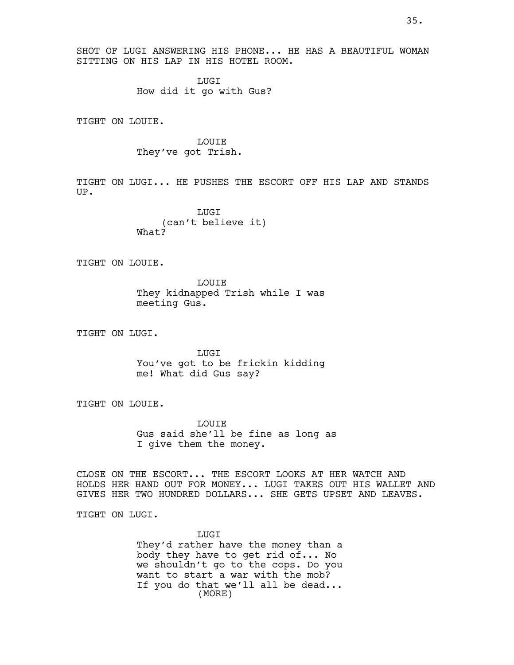SHOT OF LUGI ANSWERING HIS PHONE... HE HAS A BEAUTIFUL WOMAN SITTING ON HIS LAP IN HIS HOTEL ROOM.

> LUGI How did it go with Gus?

TIGHT ON LOUIE.

LOUIE They've got Trish.

TIGHT ON LUGI... HE PUSHES THE ESCORT OFF HIS LAP AND STANDS UP.

> LUGI (can't believe it) What?

TIGHT ON LOUIE.

LOUIE They kidnapped Trish while I was meeting Gus.

TIGHT ON LUGI.

LUGI You've got to be frickin kidding me! What did Gus say?

TIGHT ON LOUIE.

LOUIE Gus said she'll be fine as long as I give them the money.

CLOSE ON THE ESCORT... THE ESCORT LOOKS AT HER WATCH AND HOLDS HER HAND OUT FOR MONEY... LUGI TAKES OUT HIS WALLET AND GIVES HER TWO HUNDRED DOLLARS... SHE GETS UPSET AND LEAVES.

TIGHT ON LUGI.

LUGI They'd rather have the money than a body they have to get rid of... No we shouldn't go to the cops. Do you want to start a war with the mob? If you do that we'll all be dead... (MORE)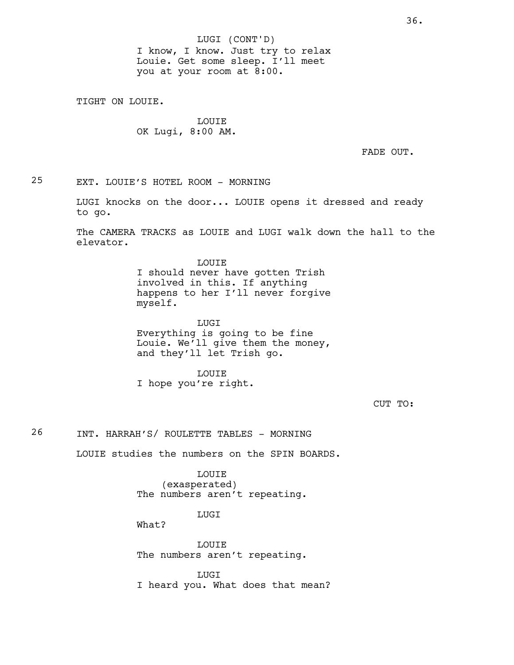I know, I know. Just try to relax Louie. Get some sleep. I'll meet you at your room at 8:00. LUGI (CONT'D)

TIGHT ON LOUIE.

LOUIE OK Lugi, 8:00 AM.

FADE OUT.

25 EXT. LOUIE'S HOTEL ROOM - MORNING

LUGI knocks on the door... LOUIE opens it dressed and ready to go.

The CAMERA TRACKS as LOUIE and LUGI walk down the hall to the elevator.

> LOUIE I should never have gotten Trish involved in this. If anything happens to her I'll never forgive myself.

> LUGI Everything is going to be fine Louie. We'll give them the money, and they'll let Trish go.

LOUIE I hope you're right.

CUT TO:

26 INT. HARRAH'S/ ROULETTE TABLES - MORNING

LOUIE studies the numbers on the SPIN BOARDS.

LOUIE (exasperated) The numbers aren't repeating.

**LUGT** 

What?

LOUIE The numbers aren't repeating.

LUGI I heard you. What does that mean?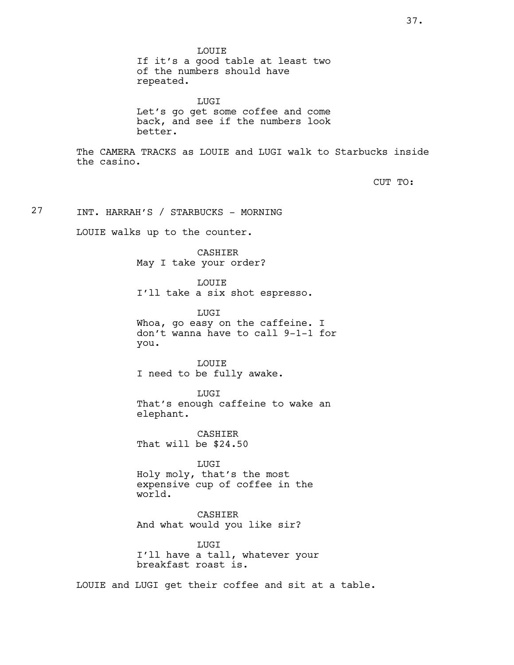LOUIE If it's a good table at least two of the numbers should have repeated.

LUGI Let's go get some coffee and come back, and see if the numbers look better.

The CAMERA TRACKS as LOUIE and LUGI walk to Starbucks inside the casino.

CUT TO:

27 INT. HARRAH'S / STARBUCKS - MORNING

LOUIE walks up to the counter.

CASHIER May I take your order?

LOUIE I'll take a six shot espresso.

LUGI Whoa, go easy on the caffeine. I don't wanna have to call 9-1-1 for you.

LOUIE I need to be fully awake.

LUGI That's enough caffeine to wake an elephant.

CASHIER That will be \$24.50

LUGI Holy moly, that's the most expensive cup of coffee in the world.

**CASHIER** And what would you like sir?

LUGI I'll have a tall, whatever your breakfast roast is.

LOUIE and LUGI get their coffee and sit at a table.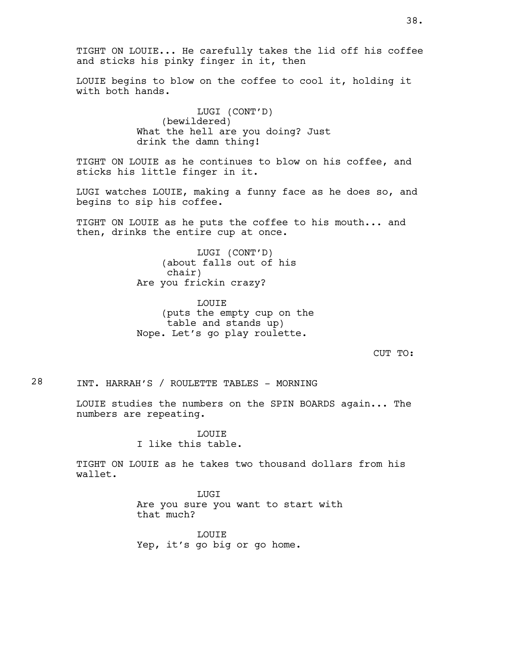TIGHT ON LOUIE... He carefully takes the lid off his coffee and sticks his pinky finger in it, then

LOUIE begins to blow on the coffee to cool it, holding it with both hands.

> LUGI (CONT'D) (bewildered) What the hell are you doing? Just drink the damn thing!

TIGHT ON LOUIE as he continues to blow on his coffee, and sticks his little finger in it.

LUGI watches LOUIE, making a funny face as he does so, and begins to sip his coffee.

TIGHT ON LOUIE as he puts the coffee to his mouth... and then, drinks the entire cup at once.

> LUGI (CONT'D) (about falls out of his chair) Are you frickin crazy?

LOUIE (puts the empty cup on the table and stands up) Nope. Let's go play roulette.

CUT TO:

28 INT. HARRAH'S / ROULETTE TABLES - MORNING

LOUIE studies the numbers on the SPIN BOARDS again... The numbers are repeating.

> LOUIE I like this table.

TIGHT ON LOUIE as he takes two thousand dollars from his wallet.

> LUGI Are you sure you want to start with that much?

**LOUTE** Yep, it's go big or go home.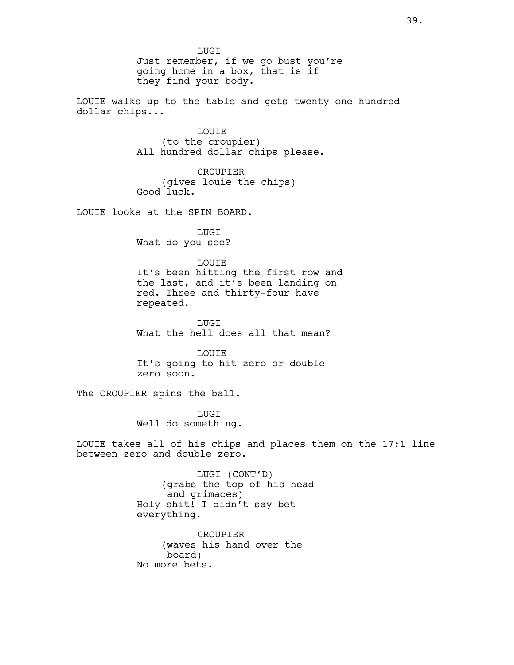LUGI Just remember, if we go bust you're going home in a box, that is if they find your body.

LOUIE walks up to the table and gets twenty one hundred dollar chips...

> LOUIE (to the croupier) All hundred dollar chips please.

CROUPIER (gives louie the chips) Good luck.

LOUIE looks at the SPIN BOARD.

LUGI What do you see?

LOUIE It's been hitting the first row and the last, and it's been landing on red. Three and thirty-four have repeated.

LUGI What the hell does all that mean?

LOUIE It's going to hit zero or double zero soon.

The CROUPIER spins the ball.

LUGI Well do something.

LOUIE takes all of his chips and places them on the 17:1 line between zero and double zero.

> LUGI (CONT'D) (grabs the top of his head and grimaces) Holy shit! I didn't say bet everything.

CROUPIER (waves his hand over the board) No more bets.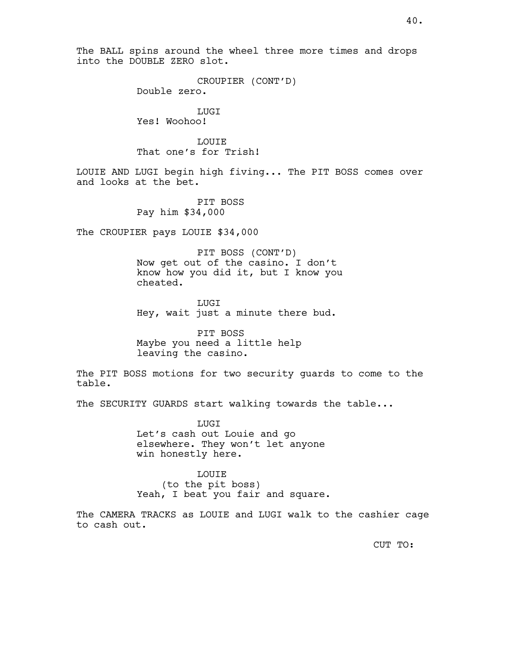The BALL spins around the wheel three more times and drops into the DOUBLE ZERO slot. CROUPIER (CONT'D) Double zero. LUGI Yes! Woohoo! LOUIE That one's for Trish! LOUIE AND LUGI begin high fiving... The PIT BOSS comes over and looks at the bet. PIT BOSS Pay him \$34,000 The CROUPIER pays LOUIE \$34,000 PIT BOSS (CONT'D) Now get out of the casino. I don't know how you did it, but I know you cheated. LUGI Hey, wait just a minute there bud. PIT BOSS Maybe you need a little help leaving the casino. The PIT BOSS motions for two security guards to come to the table. The SECURITY GUARDS start walking towards the table... LUGI Let's cash out Louie and go elsewhere. They won't let anyone win honestly here. LOUIE (to the pit boss) Yeah, I beat you fair and square. The CAMERA TRACKS as LOUIE and LUGI walk to the cashier cage to cash out. CUT TO: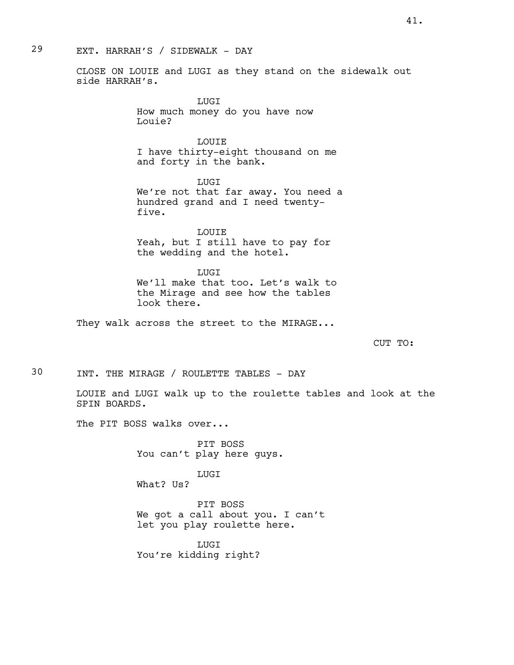# 29 EXT. HARRAH'S / SIDEWALK - DAY

CLOSE ON LOUIE and LUGI as they stand on the sidewalk out side HARRAH's.

> LUGI How much money do you have now Louie?

LOUIE I have thirty-eight thousand on me and forty in the bank.

**LUGT** We're not that far away. You need a hundred grand and I need twentyfive.

LOUIE Yeah, but I still have to pay for the wedding and the hotel.

LUGI We'll make that too. Let's walk to the Mirage and see how the tables look there.

They walk across the street to the MIRAGE...

CUT TO:

30 INT. THE MIRAGE / ROULETTE TABLES - DAY

LOUIE and LUGI walk up to the roulette tables and look at the SPIN BOARDS.

The PIT BOSS walks over...

PIT BOSS You can't play here guys.

LUGI What? Us?

PIT BOSS We got a call about you. I can't let you play roulette here.

LUGI You're kidding right?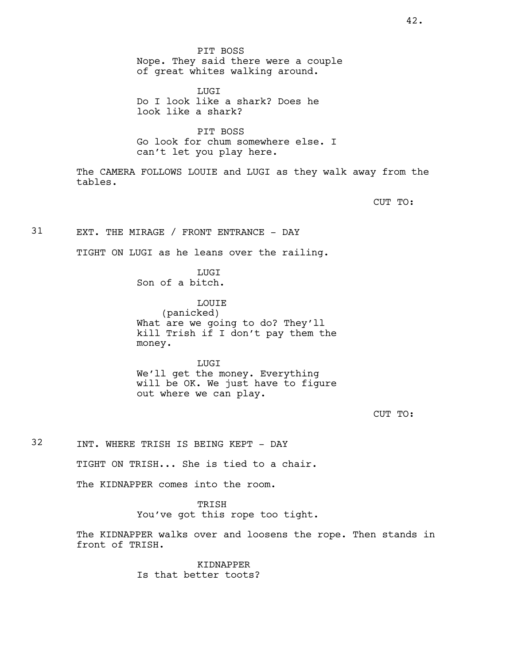PIT BOSS Nope. They said there were a couple of great whites walking around.

**LUGT** Do I look like a shark? Does he look like a shark?

PIT BOSS Go look for chum somewhere else. I can't let you play here.

The CAMERA FOLLOWS LOUIE and LUGI as they walk away from the tables.

CUT TO:

31 EXT. THE MIRAGE / FRONT ENTRANCE - DAY

TIGHT ON LUGI as he leans over the railing.

LUGI Son of a bitch.

LOUIE (panicked) What are we going to do? They'll kill Trish if I don't pay them the money.

LUGI We'll get the money. Everything will be OK. We just have to figure out where we can play.

CUT TO:

32 INT. WHERE TRISH IS BEING KEPT - DAY

TIGHT ON TRISH... She is tied to a chair.

The KIDNAPPER comes into the room.

TRISH You've got this rope too tight.

The KIDNAPPER walks over and loosens the rope. Then stands in front of TRISH.

> KIDNAPPER Is that better toots?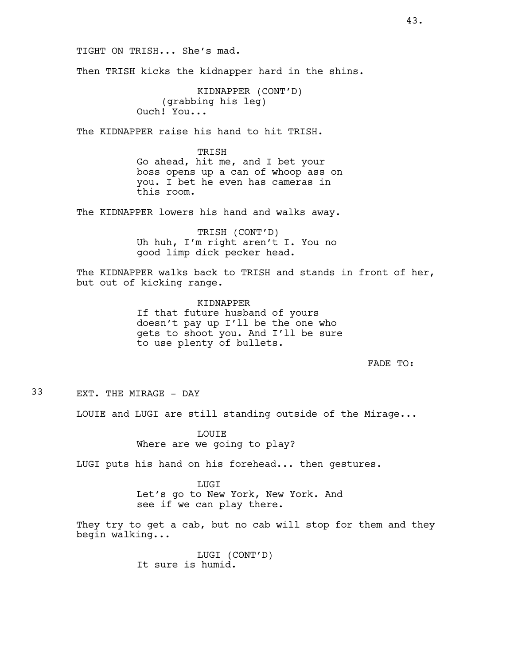TIGHT ON TRISH... She's mad.

Then TRISH kicks the kidnapper hard in the shins.

KIDNAPPER (CONT'D) (grabbing his leg) Ouch! You...

The KIDNAPPER raise his hand to hit TRISH.

TRISH Go ahead, hit me, and I bet your boss opens up a can of whoop ass on you. I bet he even has cameras in this room.

The KIDNAPPER lowers his hand and walks away.

TRISH (CONT'D) Uh huh, I'm right aren't I. You no good limp dick pecker head.

The KIDNAPPER walks back to TRISH and stands in front of her, but out of kicking range.

> KIDNAPPER If that future husband of yours doesn't pay up I'll be the one who gets to shoot you. And I'll be sure to use plenty of bullets.

> > FADE TO:

33 EXT. THE MIRAGE - DAY

LOUIE and LUGI are still standing outside of the Mirage...

LOUIE Where are we going to play?

LUGI puts his hand on his forehead... then gestures.

LUGI Let's go to New York, New York. And see if we can play there.

They try to get a cab, but no cab will stop for them and they begin walking...

> LUGI (CONT'D) It sure is humid.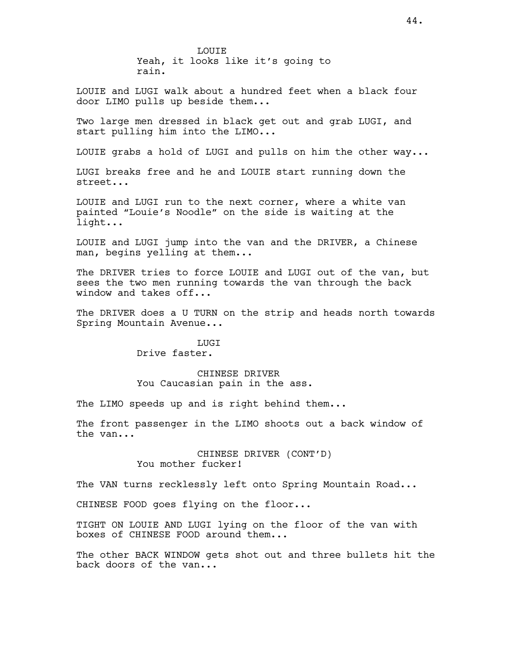LOUIE Yeah, it looks like it's going to rain.

LOUIE and LUGI walk about a hundred feet when a black four door LIMO pulls up beside them...

Two large men dressed in black get out and grab LUGI, and start pulling him into the LIMO...

LOUIE grabs a hold of LUGI and pulls on him the other way...

LUGI breaks free and he and LOUIE start running down the street...

LOUIE and LUGI run to the next corner, where a white van painted "Louie's Noodle" on the side is waiting at the light...

LOUIE and LUGI jump into the van and the DRIVER, a Chinese man, begins yelling at them...

The DRIVER tries to force LOUIE and LUGI out of the van, but sees the two men running towards the van through the back window and takes off...

The DRIVER does a U TURN on the strip and heads north towards Spring Mountain Avenue...

> **LUGT** Drive faster.

CHINESE DRIVER You Caucasian pain in the ass.

The LIMO speeds up and is right behind them...

The front passenger in the LIMO shoots out a back window of the van...

> CHINESE DRIVER (CONT'D) You mother fucker!

The VAN turns recklessly left onto Spring Mountain Road...

CHINESE FOOD goes flying on the floor...

TIGHT ON LOUIE AND LUGI lying on the floor of the van with boxes of CHINESE FOOD around them...

The other BACK WINDOW gets shot out and three bullets hit the back doors of the van...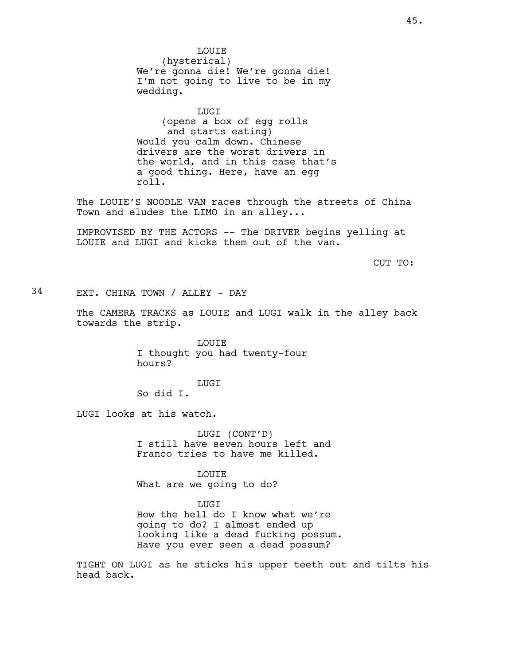LOUIE (hysterical) We're gonna die! We're gonna die! I'm not going to live to be in my wedding.

# LUGI

(opens a box of egg rolls and starts eating) Would you calm down. Chinese drivers are the worst drivers in the world, and in this case that's a good thing. Here, have an egg roll.

The LOUIE'S NOODLE VAN races through the streets of China Town and eludes the LIMO in an alley...

IMPROVISED BY THE ACTORS -- The DRIVER begins yelling at LOUIE and LUGI and kicks them out of the van.

CUT TO:

34 EXT. CHINA TOWN / ALLEY - DAY

The CAMERA TRACKS as LOUIE and LUGI walk in the alley back towards the strip.

> LOUIE I thought you had twenty-four hours?

# LUGI

So did I.

LUGI looks at his watch.

LUGI (CONT'D) I still have seven hours left and Franco tries to have me killed.

LOUIE What are we going to do?

LUGI How the hell do I know what we're going to do? I almost ended up looking like a dead fucking possum. Have you ever seen a dead possum?

TIGHT ON LUGI as he sticks his upper teeth out and tilts his head back.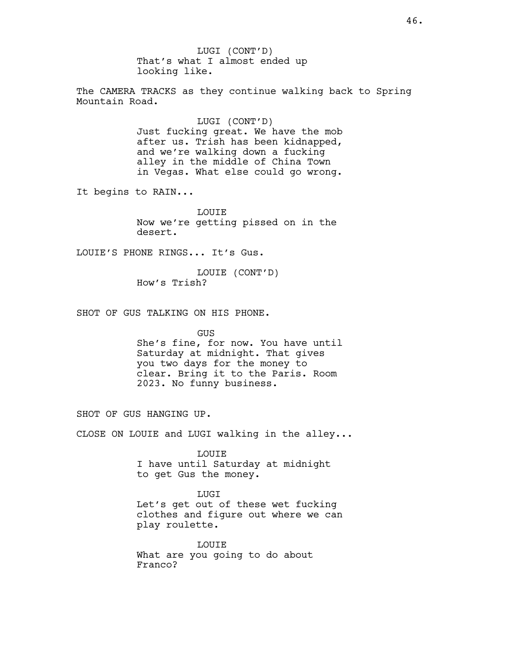LUGI (CONT'D) That's what I almost ended up looking like. The CAMERA TRACKS as they continue walking back to Spring Mountain Road. LUGI (CONT'D) Just fucking great. We have the mob after us. Trish has been kidnapped, and we're walking down a fucking alley in the middle of China Town in Vegas. What else could go wrong. It begins to RAIN... LOUIE Now we're getting pissed on in the desert. LOUIE'S PHONE RINGS... It's Gus. LOUIE (CONT'D) How's Trish? SHOT OF GUS TALKING ON HIS PHONE. GUS She's fine, for now. You have until Saturday at midnight. That gives you two days for the money to clear. Bring it to the Paris. Room 2023. No funny business. SHOT OF GUS HANGING UP. CLOSE ON LOUIE and LUGI walking in the alley... LOUIE I have until Saturday at midnight to get Gus the money. LUGI Let's get out of these wet fucking clothes and figure out where we can play roulette.

> LOUIE What are you going to do about Franco?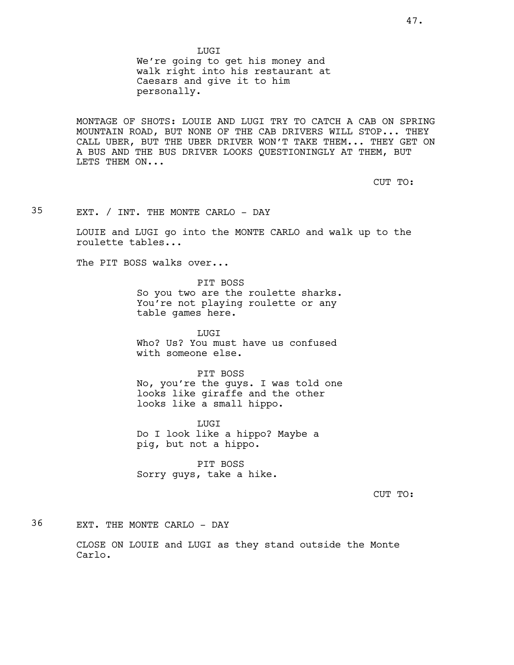LUGI We're going to get his money and walk right into his restaurant at Caesars and give it to him personally.

MONTAGE OF SHOTS: LOUIE AND LUGI TRY TO CATCH A CAB ON SPRING MOUNTAIN ROAD, BUT NONE OF THE CAB DRIVERS WILL STOP... THEY CALL UBER, BUT THE UBER DRIVER WON'T TAKE THEM... THEY GET ON A BUS AND THE BUS DRIVER LOOKS QUESTIONINGLY AT THEM, BUT LETS THEM ON...

CUT TO:

35 EXT. / INT. THE MONTE CARLO - DAY

LOUIE and LUGI go into the MONTE CARLO and walk up to the roulette tables...

The PIT BOSS walks over...

PIT BOSS So you two are the roulette sharks. You're not playing roulette or any table games here.

LUGI Who? Us? You must have us confused with someone else.

PIT BOSS No, you're the guys. I was told one looks like giraffe and the other looks like a small hippo.

LUGI Do I look like a hippo? Maybe a pig, but not a hippo.

PIT BOSS Sorry guys, take a hike.

CUT TO:

36 EXT. THE MONTE CARLO - DAY

CLOSE ON LOUIE and LUGI as they stand outside the Monte Carlo.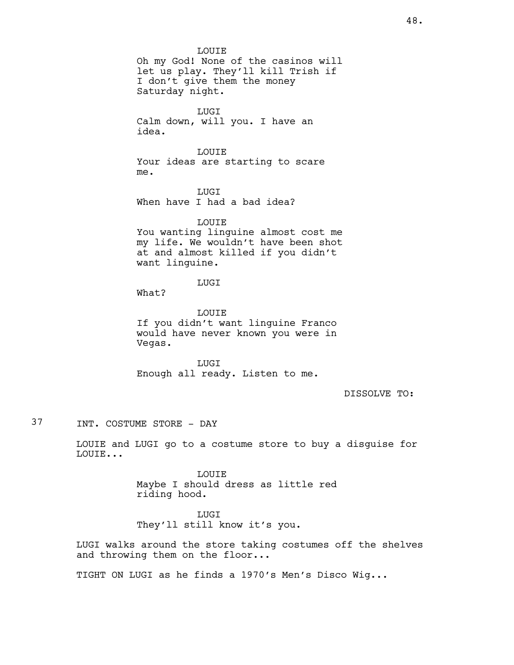LOUIE Oh my God! None of the casinos will let us play. They'll kill Trish if I don't give them the money Saturday night. LUGI Calm down, will you. I have an idea. LOUIE Your ideas are starting to scare me. LUGI When have I had a bad idea? LOUIE You wanting linguine almost cost me my life. We wouldn't have been shot at and almost killed if you didn't want linguine. LUGI What? LOUIE If you didn't want linguine Franco would have never known you were in Vegas. LUGI Enough all ready. Listen to me. DISSOLVE TO:

37 INT. COSTUME STORE - DAY

LOUIE and LUGI go to a costume store to buy a disguise for LOUIE...

> LOUIE Maybe I should dress as little red riding hood.

**LUGT** They'll still know it's you.

LUGI walks around the store taking costumes off the shelves and throwing them on the floor...

TIGHT ON LUGI as he finds a 1970's Men's Disco Wig...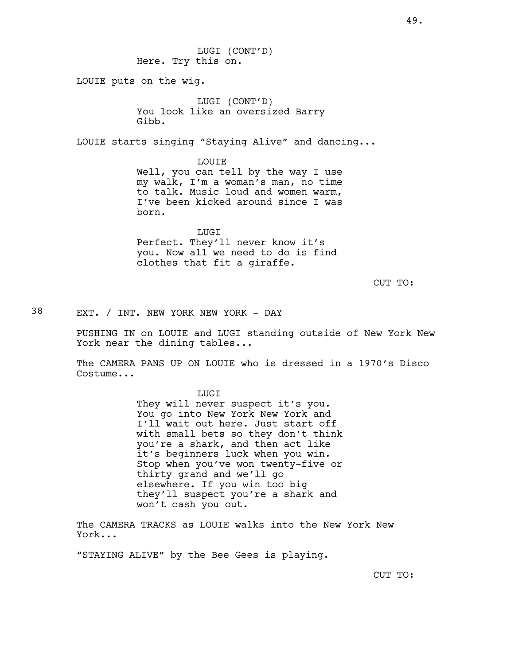Well, you can tell by the way I use my walk, I'm a woman's man, no time to talk. Music loud and women warm, I've been kicked around since I was born.

LUGI Perfect. They'll never know it's you. Now all we need to do is find clothes that fit a giraffe.

CUT TO:

38 EXT. / INT. NEW YORK NEW YORK - DAY

PUSHING IN on LOUIE and LUGI standing outside of New York New York near the dining tables...

The CAMERA PANS UP ON LOUIE who is dressed in a 1970's Disco Costume...

> LUGI They will never suspect it's you. You go into New York New York and I'll wait out here. Just start off with small bets so they don't think you're a shark, and then act like it's beginners luck when you win. Stop when you've won twenty-five or thirty grand and we'll go elsewhere. If you win too big they'll suspect you're a shark and won't cash you out.

The CAMERA TRACKS as LOUIE walks into the New York New York...

"STAYING ALIVE" by the Bee Gees is playing.

CUT TO: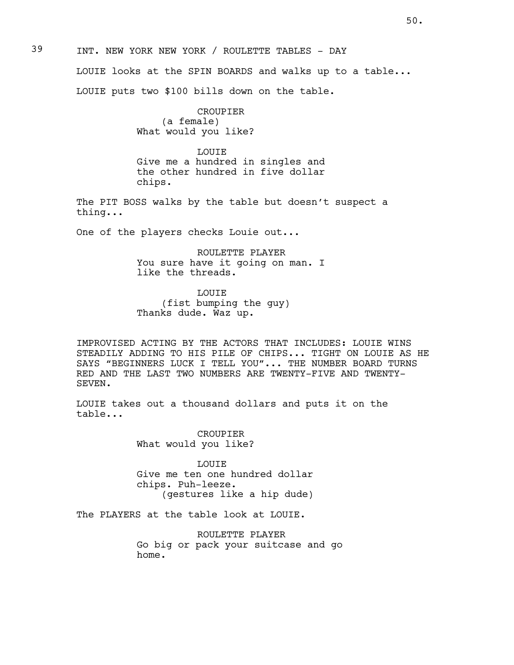LOUIE looks at the SPIN BOARDS and walks up to a table... LOUIE puts two \$100 bills down on the table.

> CROUPIER (a female) What would you like?

LOUIE Give me a hundred in singles and the other hundred in five dollar chips.

The PIT BOSS walks by the table but doesn't suspect a thing...

One of the players checks Louie out...

ROULETTE PLAYER You sure have it going on man. I like the threads.

**LOUTE** (fist bumping the guy) Thanks dude. Waz up.

IMPROVISED ACTING BY THE ACTORS THAT INCLUDES: LOUIE WINS STEADILY ADDING TO HIS PILE OF CHIPS... TIGHT ON LOUIE AS HE SAYS "BEGINNERS LUCK I TELL YOU"... THE NUMBER BOARD TURNS RED AND THE LAST TWO NUMBERS ARE TWENTY-FIVE AND TWENTY-SEVEN.

LOUIE takes out a thousand dollars and puts it on the table...

> CROUPIER What would you like?

**LOUTE** Give me ten one hundred dollar chips. Puh-leeze. (gestures like a hip dude)

The PLAYERS at the table look at LOUIE.

ROULETTE PLAYER Go big or pack your suitcase and go home.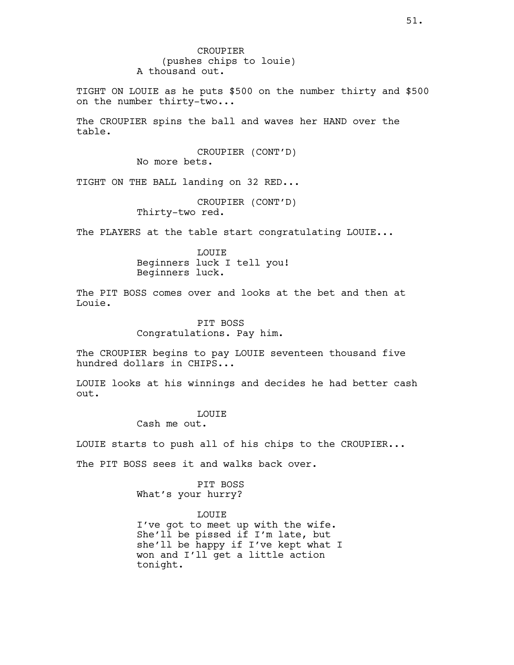CROUPIER (pushes chips to louie) A thousand out.

TIGHT ON LOUIE as he puts \$500 on the number thirty and \$500 on the number thirty-two...

The CROUPIER spins the ball and waves her HAND over the table.

> CROUPIER (CONT'D) No more bets.

TIGHT ON THE BALL landing on 32 RED...

CROUPIER (CONT'D) Thirty-two red.

The PLAYERS at the table start congratulating LOUIE...

LOUIE Beginners luck I tell you! Beginners luck.

The PIT BOSS comes over and looks at the bet and then at Louie.

> PIT BOSS Congratulations. Pay him.

The CROUPIER begins to pay LOUIE seventeen thousand five hundred dollars in CHIPS...

LOUIE looks at his winnings and decides he had better cash out.

> LOUIE Cash me out.

LOUIE starts to push all of his chips to the CROUPIER...

The PIT BOSS sees it and walks back over.

PIT BOSS What's your hurry?

LOUIE I've got to meet up with the wife. She'll be pissed if I'm late, but she'll be happy if I've kept what I won and I'll get a little action tonight.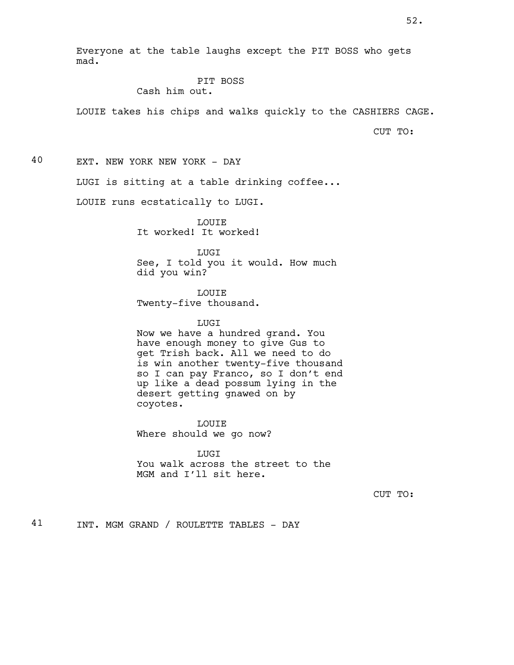Everyone at the table laughs except the PIT BOSS who gets mad.

> PIT BOSS Cash him out.

LOUIE takes his chips and walks quickly to the CASHIERS CAGE.

CUT TO:

40 EXT. NEW YORK NEW YORK - DAY

LUGI is sitting at a table drinking coffee...

LOUIE runs ecstatically to LUGI.

LOUIE It worked! It worked!

LUGI See, I told you it would. How much did you win?

**LOUTE** Twenty-five thousand.

LUGI Now we have a hundred grand. You have enough money to give Gus to get Trish back. All we need to do is win another twenty-five thousand so I can pay Franco, so I don't end up like a dead possum lying in the desert getting gnawed on by coyotes.

LOUIE Where should we go now?

LUGI You walk across the street to the MGM and I'll sit here.

CUT TO:

41 INT. MGM GRAND / ROULETTE TABLES - DAY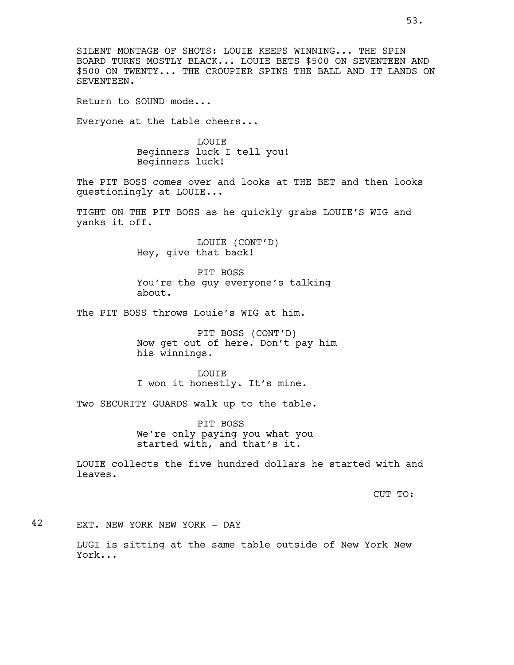SILENT MONTAGE OF SHOTS: LOUIE KEEPS WINNING... THE SPIN BOARD TURNS MOSTLY BLACK... LOUIE BETS \$500 ON SEVENTEEN AND \$500 ON TWENTY... THE CROUPIER SPINS THE BALL AND IT LANDS ON SEVENTEEN.

Return to SOUND mode...

Everyone at the table cheers...

LOUIE Beginners luck I tell you! Beginners luck!

The PIT BOSS comes over and looks at THE BET and then looks questioningly at LOUIE...

TIGHT ON THE PIT BOSS as he quickly grabs LOUIE'S WIG and yanks it off.

> LOUIE (CONT'D) Hey, give that back!

PIT BOSS You're the guy everyone's talking about.

The PIT BOSS throws Louie's WIG at him.

PIT BOSS (CONT'D) Now get out of here. Don't pay him his winnings.

LOUIE I won it honestly. It's mine.

Two SECURITY GUARDS walk up to the table.

PIT BOSS We're only paying you what you started with, and that's it.

LOUIE collects the five hundred dollars he started with and leaves.

CUT TO:

42 EXT. NEW YORK NEW YORK - DAY

LUGI is sitting at the same table outside of New York New York...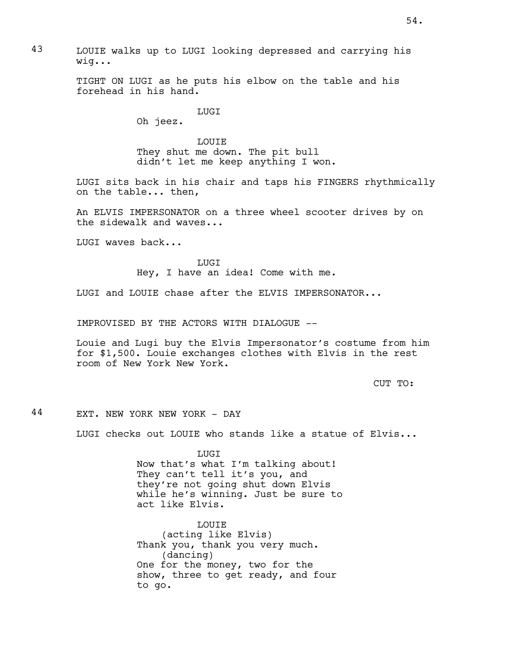43 LOUIE walks up to LUGI looking depressed and carrying his wig...

> TIGHT ON LUGI as he puts his elbow on the table and his forehead in his hand.

> > LUGI

Oh jeez.

LOUIE They shut me down. The pit bull didn't let me keep anything I won.

LUGI sits back in his chair and taps his FINGERS rhythmically on the table... then,

An ELVIS IMPERSONATOR on a three wheel scooter drives by on the sidewalk and waves...

LUGI waves back...

**LUGT** Hey, I have an idea! Come with me.

LUGI and LOUIE chase after the ELVIS IMPERSONATOR...

IMPROVISED BY THE ACTORS WITH DIALOGUE --

Louie and Lugi buy the Elvis Impersonator's costume from him for \$1,500. Louie exchanges clothes with Elvis in the rest room of New York New York.

CUT TO:

44 EXT. NEW YORK NEW YORK - DAY

LUGI checks out LOUIE who stands like a statue of Elvis...

LUGI Now that's what I'm talking about! They can't tell it's you, and they're not going shut down Elvis while he's winning. Just be sure to act like Elvis.

LOUIE (acting like Elvis) Thank you, thank you very much. (dancing) One for the money, two for the show, three to get ready, and four to go.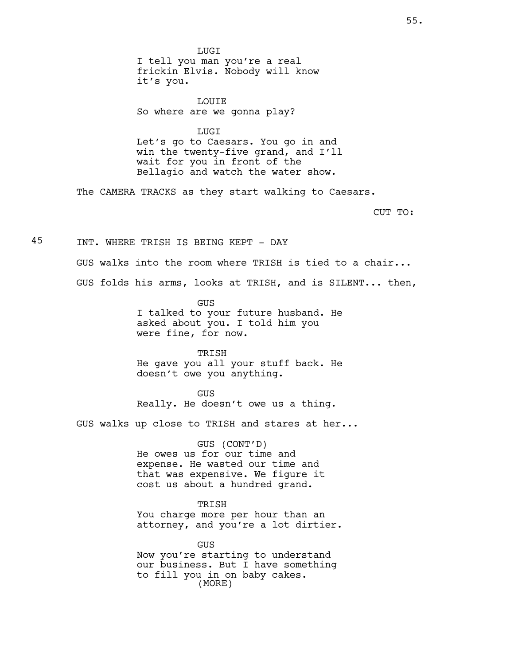LUGI I tell you man you're a real frickin Elvis. Nobody will know it's you.

LOUIE So where are we gonna play?

**LUGT** Let's go to Caesars. You go in and win the twenty-five grand, and I'll wait for you in front of the Bellagio and watch the water show.

The CAMERA TRACKS as they start walking to Caesars.

CUT TO:

45 TNT. WHERE TRISH IS BEING KEPT - DAY

GUS walks into the room where TRISH is tied to a chair...

GUS folds his arms, looks at TRISH, and is SILENT... then,

GUS I talked to your future husband. He asked about you. I told him you were fine, for now.

TRISH

He gave you all your stuff back. He doesn't owe you anything.

**GUS** Really. He doesn't owe us a thing.

GUS walks up close to TRISH and stares at her...

GUS (CONT'D) He owes us for our time and expense. He wasted our time and that was expensive. We figure it cost us about a hundred grand.

TRISH You charge more per hour than an attorney, and you're a lot dirtier.

GUS Now you're starting to understand our business. But I have something to fill you in on baby cakes. (MORE)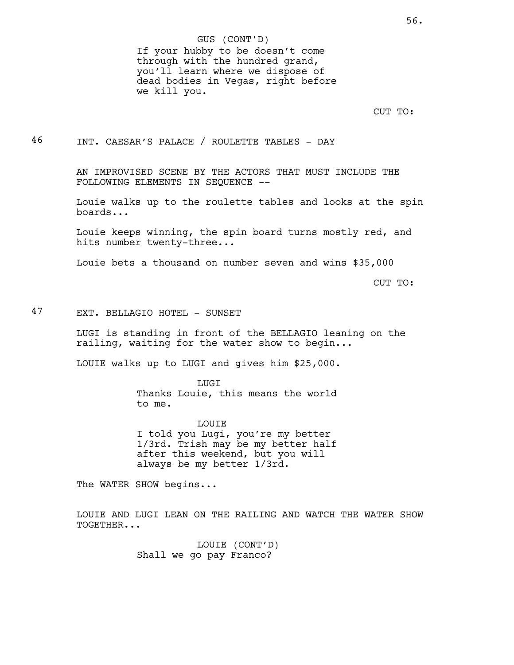#### GUS (CONT'D)

If your hubby to be doesn't come through with the hundred grand, you'll learn where we dispose of dead bodies in Vegas, right before we kill you.

CUT TO:

# 46 INT. CAESAR'S PALACE / ROULETTE TABLES - DAY

AN IMPROVISED SCENE BY THE ACTORS THAT MUST INCLUDE THE FOLLOWING ELEMENTS IN SEQUENCE --

Louie walks up to the roulette tables and looks at the spin boards...

Louie keeps winning, the spin board turns mostly red, and hits number twenty-three...

Louie bets a thousand on number seven and wins \$35,000

CUT TO:

# 47 EXT. BELLAGIO HOTEL - SUNSET

LUGI is standing in front of the BELLAGIO leaning on the railing, waiting for the water show to begin...

LOUIE walks up to LUGI and gives him \$25,000.

LUGI Thanks Louie, this means the world to me.

LOUIE I told you Lugi, you're my better 1/3rd. Trish may be my better half after this weekend, but you will always be my better 1/3rd.

The WATER SHOW begins...

LOUIE AND LUGI LEAN ON THE RAILING AND WATCH THE WATER SHOW TOGETHER...

> LOUIE (CONT'D) Shall we go pay Franco?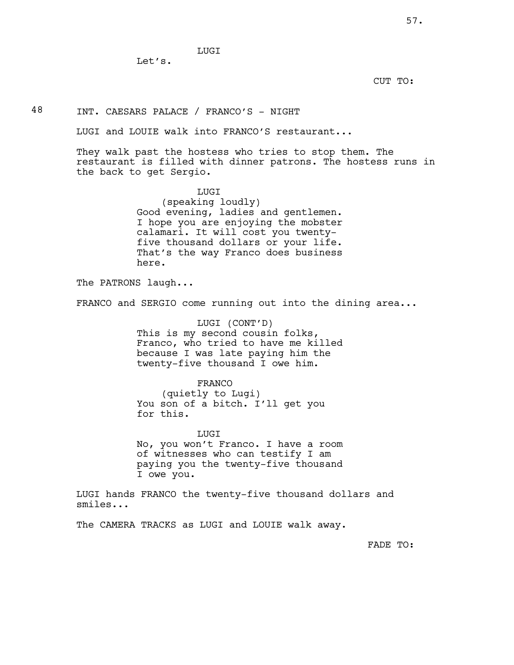LUGI Let's.

CUT TO:

48 INT. CAESARS PALACE / FRANCO'S - NIGHT

LUGI and LOUIE walk into FRANCO'S restaurant...

They walk past the hostess who tries to stop them. The restaurant is filled with dinner patrons. The hostess runs in the back to get Sergio.

> LUGI (speaking loudly) Good evening, ladies and gentlemen. I hope you are enjoying the mobster calamari. It will cost you twentyfive thousand dollars or your life. That's the way Franco does business here.

The PATRONS laugh...

FRANCO and SERGIO come running out into the dining area...

LUGI (CONT'D) This is my second cousin folks, Franco, who tried to have me killed because I was late paying him the twenty-five thousand I owe him.

FRANCO (quietly to Lugi) You son of a bitch. I'll get you for this.

LUGI No, you won't Franco. I have a room of witnesses who can testify I am paying you the twenty-five thousand I owe you.

LUGI hands FRANCO the twenty-five thousand dollars and smiles...

The CAMERA TRACKS as LUGI and LOUIE walk away.

FADE TO: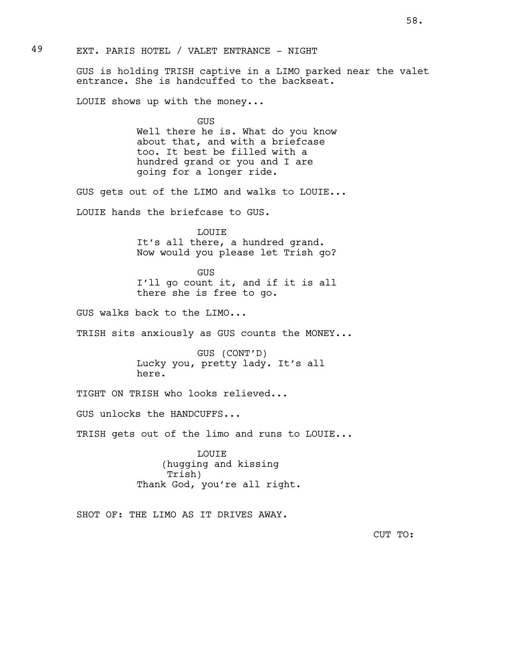# 49 EXT. PARIS HOTEL / VALET ENTRANCE - NIGHT

GUS is holding TRISH captive in a LIMO parked near the valet entrance. She is handcuffed to the backseat.

LOUIE shows up with the money...

GUS Well there he is. What do you know about that, and with a briefcase too. It best be filled with a hundred grand or you and I are going for a longer ride.

GUS gets out of the LIMO and walks to LOUIE...

LOUIE hands the briefcase to GUS.

LOUIE It's all there, a hundred grand. Now would you please let Trish go?

GUS I'll go count it, and if it is all there she is free to go.

GUS walks back to the LIMO...

TRISH sits anxiously as GUS counts the MONEY...

GUS (CONT'D) Lucky you, pretty lady. It's all here.

TIGHT ON TRISH who looks relieved...

GUS unlocks the HANDCUFFS...

TRISH gets out of the limo and runs to LOUIE...

LOUIE (hugging and kissing Trish) Thank God, you're all right.

SHOT OF: THE LIMO AS IT DRIVES AWAY.

CUT TO: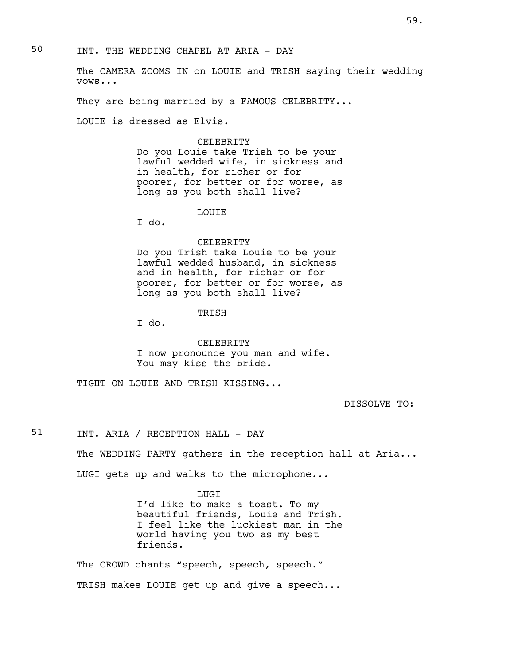# 50 INT. THE WEDDING CHAPEL AT ARIA - DAY

The CAMERA ZOOMS IN on LOUIE and TRISH saying their wedding vows...

They are being married by a FAMOUS CELEBRITY...

LOUIE is dressed as Elvis.

#### CELEBRITY

Do you Louie take Trish to be your lawful wedded wife, in sickness and in health, for richer or for poorer, for better or for worse, as long as you both shall live?

LOUIE

I do.

#### CELEBRITY

Do you Trish take Louie to be your lawful wedded husband, in sickness and in health, for richer or for poorer, for better or for worse, as long as you both shall live?

## TRISH

I do.

CELEBRITY I now pronounce you man and wife. You may kiss the bride.

TIGHT ON LOUIE AND TRISH KISSING...

DISSOLVE TO:

51 INT. ARIA / RECEPTION HALL - DAY

The WEDDING PARTY gathers in the reception hall at Aria...

LUGI gets up and walks to the microphone...

LUGI I'd like to make a toast. To my beautiful friends, Louie and Trish. I feel like the luckiest man in the world having you two as my best friends.

The CROWD chants "speech, speech, speech." TRISH makes LOUIE get up and give a speech...